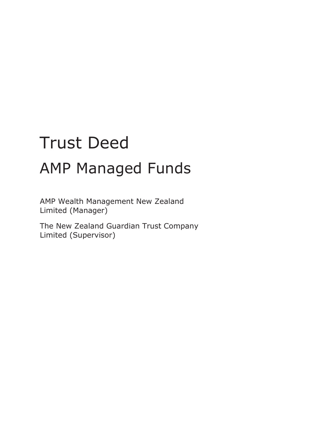# Trust Deed AMP Managed Funds

AMP Wealth Management New Zealand Limited (Manager)

The New Zealand Guardian Trust Company Limited (Supervisor)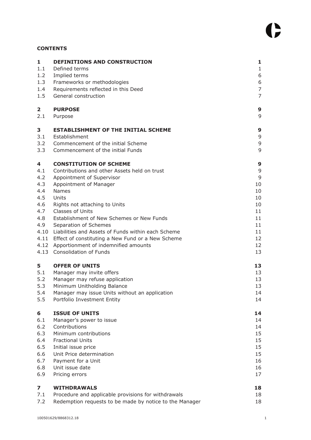# **CONTENTS**

| $\mathbf{1}$            | DEFINITIONS AND CONSTRUCTION                            | $\mathbf{1}$   |
|-------------------------|---------------------------------------------------------|----------------|
| 1.1                     | Defined terms                                           | $\mathbf{1}$   |
| 1.2                     | Implied terms                                           | 6              |
| 1.3                     | Frameworks or methodologies                             | 6              |
| 1.4                     | Requirements reflected in this Deed                     | $\overline{7}$ |
| 1.5                     | General construction                                    | $\overline{7}$ |
| $\overline{\mathbf{2}}$ | <b>PURPOSE</b>                                          | 9              |
| 2.1                     | Purpose                                                 | 9              |
| 3                       | <b>ESTABLISHMENT OF THE INITIAL SCHEME</b>              | 9              |
| 3.1                     | Establishment                                           | 9              |
| 3.2                     | Commencement of the initial Scheme                      | $\mathsf 9$    |
| 3.3                     | Commencement of the initial Funds                       | 9              |
| 4                       | <b>CONSTITUTION OF SCHEME</b>                           | 9              |
| 4.1                     | Contributions and other Assets held on trust            | 9              |
| 4.2                     | Appointment of Supervisor                               | 9              |
| 4.3                     | Appointment of Manager                                  | 10             |
| 4.4                     | Names                                                   | 10             |
| 4.5                     | Units                                                   | 10             |
| 4.6                     | Rights not attaching to Units                           | 10             |
| 4.7                     | Classes of Units                                        | 11             |
| 4.8                     | Establishment of New Schemes or New Funds               | 11             |
| 4.9                     | Separation of Schemes                                   | 11             |
|                         | 4.10 Liabilities and Assets of Funds within each Scheme | 11             |
|                         | 4.11 Effect of constituting a New Fund or a New Scheme  | 12             |
|                         | 4.12 Apportionment of indemnified amounts               | 12             |
|                         | 4.13 Consolidation of Funds                             | 13             |
| 5                       | <b>OFFER OF UNITS</b>                                   | 13             |
| 5.1                     | Manager may invite offers                               | 13             |
| 5.2                     | Manager may refuse application                          | 13             |
| 5.3                     | Minimum Unitholding Balance                             | 13             |
| 5.4                     | Manager may issue Units without an application          | 14             |
| 5.5                     | Portfolio Investment Entity                             | 14             |
| 6                       | <b>ISSUE OF UNITS</b>                                   | 14             |
| 6.1                     | Manager's power to issue                                | 14             |
| 6.2                     | Contributions                                           | 14             |
| 6.3                     | Minimum contributions                                   | 15             |
| 6.4                     | <b>Fractional Units</b>                                 | 15             |
| 6.5                     | Initial issue price                                     | 15             |
| 6.6                     | Unit Price determination                                | 15             |
| 6.7                     | Payment for a Unit                                      | 16             |
| 6.8                     | Unit issue date                                         | 16             |
| 6.9                     | Pricing errors                                          | 17             |
| 7                       | <b>WITHDRAWALS</b>                                      | 18             |
| 7.1                     | Procedure and applicable provisions for withdrawals     | 18             |
| 7.2                     | Redemption requests to be made by notice to the Manager | 18             |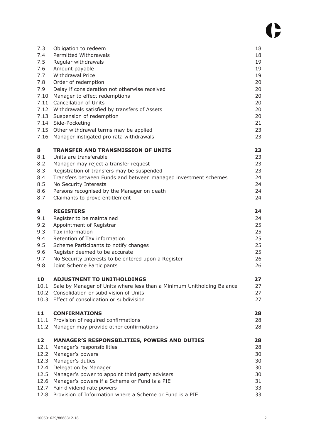| 7.3          | Obligation to redeem                                                           | 18       |
|--------------|--------------------------------------------------------------------------------|----------|
| 7.4          | Permitted Withdrawals                                                          | 18       |
| 7.5          | Regular withdrawals                                                            | 19       |
| 7.6          | Amount payable<br>Withdrawal Price                                             | 19       |
| 7.7<br>7.8   | Order of redemption                                                            | 19<br>20 |
| 7.9          |                                                                                | 20       |
| 7.10         | Delay if consideration not otherwise received<br>Manager to effect redemptions | 20       |
| 7.11         | Cancellation of Units                                                          | 20       |
| 7.12         | Withdrawals satisfied by transfers of Assets                                   | 20       |
| 7.13         | Suspension of redemption                                                       | 20       |
|              | 7.14 Side-Pocketing                                                            | 21       |
|              | 7.15 Other withdrawal terms may be applied                                     | 23       |
| 7.16         | Manager instigated pro rata withdrawals                                        | 23       |
| 8            | <b>TRANSFER AND TRANSMISSION OF UNITS</b>                                      | 23       |
| 8.1          | Units are transferable                                                         | 23       |
| 8.2          | Manager may reject a transfer request                                          | 23       |
| 8.3          | Registration of transfers may be suspended                                     | 23       |
| 8.4          | Transfers between Funds and between managed investment schemes                 | 24       |
| 8.5          | No Security Interests                                                          | 24       |
| 8.6          | Persons recognised by the Manager on death                                     | 24       |
| 8.7          | Claimants to prove entitlement                                                 | 24       |
| 9            | <b>REGISTERS</b>                                                               | 24       |
| 9.1          | Register to be maintained                                                      | 24       |
| 9.2          | Appointment of Registrar                                                       | 25       |
| 9.3          | Tax information                                                                | 25       |
| 9.4          | Retention of Tax information                                                   | 25       |
| 9.5          | Scheme Participants to notify changes                                          | 25       |
| 9.6          | Register deemed to be accurate                                                 | 25       |
| 9.7          | No Security Interests to be entered upon a Register                            | 26       |
| 9.8          | Joint Scheme Participants                                                      | 26       |
| 10           | <b>ADJUSTMENT TO UNITHOLDINGS</b>                                              | 27       |
|              | 10.1 Sale by Manager of Units where less than a Minimum Unitholding Balance    | 27       |
|              | 10.2 Consolidation or subdivision of Units                                     | 27       |
| 10.3         | Effect of consolidation or subdivision                                         | 27       |
|              |                                                                                |          |
| 11           | <b>CONFIRMATIONS</b>                                                           | 28       |
| 11.1         | Provision of required confirmations                                            | 28       |
| 11.2         | Manager may provide other confirmations                                        | 28       |
| 12           | <b>MANAGER'S RESPONSBILITIES, POWERS AND DUTIES</b>                            | 28       |
| 12.1         | Manager's responsibilities                                                     | 28       |
| 12.2         | Manager's powers                                                               | 30       |
| 12.3         | Manager's duties                                                               | 30       |
| 12.4         | Delegation by Manager                                                          | 30       |
| 12.5         | Manager's power to appoint third party advisers                                | 30       |
| 12.6<br>12.7 | Manager's powers if a Scheme or Fund is a PIE<br>Fair dividend rate powers     | 31<br>33 |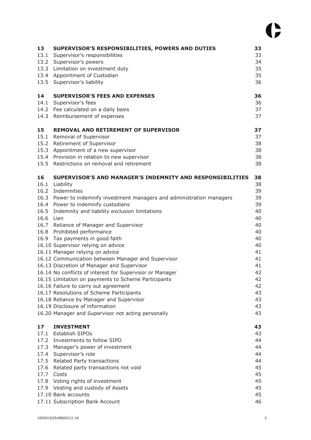| 13<br>13.1<br>13.3<br>13.5<br>14        | SUPERVISOR'S RESPONSIBILITIES, POWERS AND DUTIES<br>Supervisor's responsibilities<br>13.2 Supervisor's powers<br>Limitation on investment duty<br>13.4 Appointment of Custodian<br>Supervisor's liability<br><b>SUPERVISOR'S FEES AND EXPENSES</b>                                                                                                                                                                                                                                                                                                                                                                                                                                                                                                                                                                                                                                            | 33<br>33<br>34<br>35<br>35<br>36<br>36                                                                                     |
|-----------------------------------------|-----------------------------------------------------------------------------------------------------------------------------------------------------------------------------------------------------------------------------------------------------------------------------------------------------------------------------------------------------------------------------------------------------------------------------------------------------------------------------------------------------------------------------------------------------------------------------------------------------------------------------------------------------------------------------------------------------------------------------------------------------------------------------------------------------------------------------------------------------------------------------------------------|----------------------------------------------------------------------------------------------------------------------------|
| 14.1<br>14.3                            | Supervisor's fees<br>14.2 Fee calculated on a daily basis<br>Reimbursement of expenses                                                                                                                                                                                                                                                                                                                                                                                                                                                                                                                                                                                                                                                                                                                                                                                                        | 36<br>37<br>37                                                                                                             |
| 15<br>15.2<br>15.3<br>15.4<br>15.5      | <b>REMOVAL AND RETIREMENT OF SUPERVISOR</b><br>15.1 Removal of Supervisor<br>Retirement of Supervisor<br>Appointment of a new supervisor<br>Provision in relation to new supervisor<br>Restrictions on removal and retirement                                                                                                                                                                                                                                                                                                                                                                                                                                                                                                                                                                                                                                                                 | 37<br>37<br>38<br>38<br>38<br>38                                                                                           |
| 16<br>16.2<br>16.3<br>16.4<br>16.6 Lien | SUPERVISOR'S AND MANAGER'S INDEMNITY AND RESPONSIBILITIES<br>16.1 Liability<br>Indemnities<br>Power to indemnify investment managers and administration managers<br>Power to indemnify custodians<br>16.5 Indemnity and liability exclusion limitations<br>16.7 Reliance of Manager and Supervisor<br>16.8 Prohibited performance<br>16.9 Tax payments in good faith<br>16.10 Supervisor relying on advice<br>16.11 Manager relying on advice<br>16.12 Communication between Manager and Supervisor<br>16.13 Discretion of Manager and Supervisor<br>16.14 No conflicts of interest for Supervisor or Manager<br>16.15 Limitation on payments to Scheme Participants<br>16.16 Failure to carry out agreement<br>16.17 Resolutions of Scheme Participants<br>16.18 Reliance by Manager and Supervisor<br>16.19 Disclosure of information<br>16.20 Manager and Supervisor not acting personally | 38<br>38<br>39<br>39<br>39<br>40<br>40<br>40<br>40<br>40<br>40<br>41<br>41<br>41<br>42<br>42<br>42<br>43<br>43<br>43<br>43 |
| 17<br>17.3<br>17.4<br>17.5<br>17.6      | <b>INVESTMENT</b><br>17.1 Establish SIPOs<br>17.2 Investments to follow SIPO<br>Manager's power of investment<br>Supervisor's role<br>Related Party transactions<br>Related party transactions not void<br>17.7 Costs<br>17.8 Voting rights of investment<br>17.9 Vesting and custody of Assets<br>17.10 Bank accounts<br>17.11 Subscription Bank Account                                                                                                                                                                                                                                                                                                                                                                                                                                                                                                                                     | 43<br>43<br>44<br>44<br>44<br>44<br>45<br>45<br>45<br>45<br>45<br>46                                                       |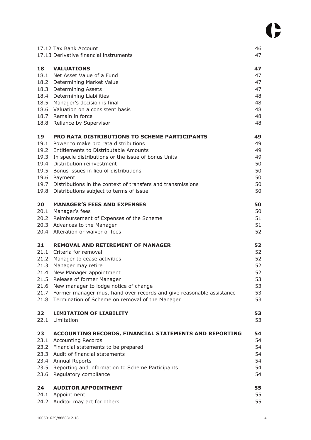|      | 17.12 Tax Bank Account                                                    | 46       |
|------|---------------------------------------------------------------------------|----------|
|      | 17.13 Derivative financial instruments                                    | 47       |
| 18   | <b>VALUATIONS</b>                                                         | 47       |
|      | 18.1 Net Asset Value of a Fund                                            | 47       |
|      | 18.2 Determining Market Value                                             | 47       |
|      | 18.3 Determining Assets                                                   | 47       |
|      | 18.4 Determining Liabilities                                              | 48       |
|      | 18.5 Manager's decision is final                                          | 48       |
|      | 18.6 Valuation on a consistent basis                                      | 48       |
|      | 18.7 Remain in force                                                      | 48       |
|      | 18.8 Reliance by Supervisor                                               | 48       |
| 19   | PRO RATA DISTRIBUTIONS TO SCHEME PARTICIPANTS                             | 49       |
|      | 19.1 Power to make pro rata distributions                                 | 49       |
|      | 19.2 Entitlements to Distributable Amounts                                | 49       |
|      | 19.3 In specie distributions or the issue of bonus Units                  | 49       |
|      | 19.4 Distribution reinvestment                                            | 50       |
|      | 19.5 Bonus issues in lieu of distributions                                | 50       |
|      | 19.6 Payment                                                              | 50       |
|      | 19.7 Distributions in the context of transfers and transmissions          | 50       |
|      | 19.8 Distributions subject to terms of issue                              | 50       |
| 20   | <b>MANAGER'S FEES AND EXPENSES</b>                                        | 50       |
|      | 20.1 Manager's fees                                                       | 50       |
|      | 20.2 Reimbursement of Expenses of the Scheme                              | 51       |
|      | 20.3 Advances to the Manager                                              | 51       |
|      | 20.4 Alteration or waiver of fees                                         | 52       |
| 21   | <b>REMOVAL AND RETIREMENT OF MANAGER</b>                                  | 52       |
| 21.1 | Criteria for removal                                                      | 52       |
|      | 21.2 Manager to cease activities                                          | 52       |
| 21.3 | Manager may retire                                                        | 52       |
|      | 21.4 New Manager appointment                                              | 52       |
|      | 21.5 Release of former Manager                                            | 53       |
|      | 21.6 New manager to lodge notice of change                                | 53       |
|      | 21.7 Former manager must hand over records and give reasonable assistance | 53<br>53 |
|      | 21.8 Termination of Scheme on removal of the Manager                      |          |
| 22   | <b>LIMITATION OF LIABILITY</b>                                            | 53       |
| 22.1 | Limitation                                                                | 53       |
| 23   | <b>ACCOUNTING RECORDS, FINANCIAL STATEMENTS AND REPORTING</b>             | 54       |
|      | 23.1 Accounting Records                                                   | 54       |
|      | 23.2 Financial statements to be prepared                                  | 54       |
|      | 23.3 Audit of financial statements                                        | 54       |
|      | 23.4 Annual Reports                                                       | 54       |
|      | 23.5 Reporting and information to Scheme Participants                     | 54       |
| 23.6 | Regulatory compliance                                                     | 54       |
| 24   | <b>AUDITOR APPOINTMENT</b>                                                | 55       |
| 24.1 | Appointment                                                               | 55       |
|      | 24.2 Auditor may act for others                                           | 55       |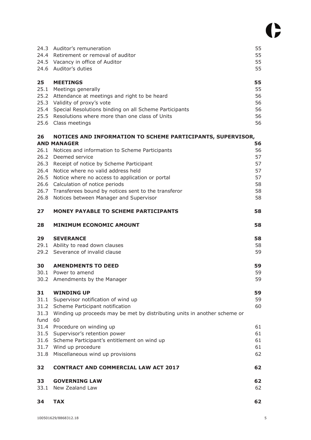|                              | 24.3 Auditor's remuneration<br>24.4 Retirement or removal of auditor<br>24.5 Vacancy in office of Auditor<br>24.6 Auditor's duties                                                                                                                                                                                                                         | 55<br>55<br>55<br>55                         |
|------------------------------|------------------------------------------------------------------------------------------------------------------------------------------------------------------------------------------------------------------------------------------------------------------------------------------------------------------------------------------------------------|----------------------------------------------|
| 25<br>25.1                   | <b>MEETINGS</b><br>Meetings generally<br>25.2 Attendance at meetings and right to be heard<br>25.3 Validity of proxy's vote<br>25.4 Special Resolutions binding on all Scheme Participants<br>25.5 Resolutions where more than one class of Units<br>25.6 Class meetings                                                                                   | 55<br>55<br>56<br>56<br>56<br>56<br>56       |
| 26                           | NOTICES AND INFORMATION TO SCHEME PARTICIPANTS, SUPERVISOR,<br><b>AND MANAGER</b>                                                                                                                                                                                                                                                                          | 56                                           |
| 26.3<br>26.4<br>26.5<br>26.8 | 26.1 Notices and information to Scheme Participants<br>26.2 Deemed service<br>Receipt of notice by Scheme Participant<br>Notice where no valid address held<br>Notice where no access to application or portal<br>26.6 Calculation of notice periods<br>26.7 Transferees bound by notices sent to the transferor<br>Notices between Manager and Supervisor | 56<br>57<br>57<br>57<br>57<br>58<br>58<br>58 |
| 27                           | <b>MONEY PAYABLE TO SCHEME PARTICIPANTS</b>                                                                                                                                                                                                                                                                                                                | 58                                           |
| 28                           | <b>MINIMUM ECONOMIC AMOUNT</b>                                                                                                                                                                                                                                                                                                                             | 58                                           |
| 29                           | <b>SEVERANCE</b><br>29.1 Ability to read down clauses<br>29.2 Severance of invalid clause                                                                                                                                                                                                                                                                  | 58<br>58<br>59                               |
| 30                           | <b>AMENDMENTS TO DEED</b><br>30.1 Power to amend<br>30.2 Amendments by the Manager                                                                                                                                                                                                                                                                         | 59<br>59<br>59                               |
| 31<br>31.1<br>31.3<br>fund   | <b>WINDING UP</b><br>Supervisor notification of wind up<br>31.2 Scheme Participant notification<br>Winding up proceeds may be met by distributing units in another scheme or<br>60                                                                                                                                                                         | 59<br>59<br>60                               |
| 31.4<br>31.5<br>31.6<br>31.8 | Procedure on winding up<br>Supervisor's retention power<br>Scheme Participant's entitlement on wind up<br>31.7 Wind up procedure<br>Miscellaneous wind up provisions                                                                                                                                                                                       | 61<br>61<br>61<br>61<br>62                   |
| 32                           | <b>CONTRACT AND COMMERCIAL LAW ACT 2017</b>                                                                                                                                                                                                                                                                                                                | 62                                           |
| 33<br>33.1                   | <b>GOVERNING LAW</b><br>New Zealand Law                                                                                                                                                                                                                                                                                                                    | 62<br>62                                     |
| 34                           | <b>TAX</b>                                                                                                                                                                                                                                                                                                                                                 | 62                                           |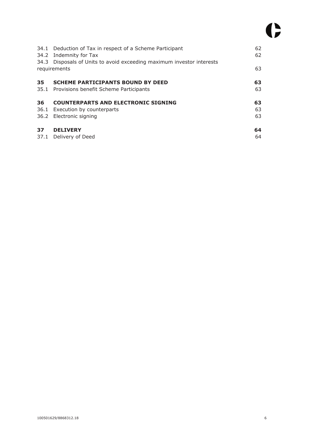|    | 34.1 Deduction of Tax in respect of a Scheme Participant<br>34.2 Indemnity for Tax<br>34.3 Disposals of Units to avoid exceeding maximum investor interests | 62<br>62       |
|----|-------------------------------------------------------------------------------------------------------------------------------------------------------------|----------------|
|    | requirements                                                                                                                                                | 63             |
| 35 | <b>SCHEME PARTICIPANTS BOUND BY DEED</b><br>35.1 Provisions benefit Scheme Participants                                                                     | 63<br>63       |
| 36 | <b>COUNTERPARTS AND ELECTRONIC SIGNING</b><br>36.1 Execution by counterparts<br>36.2 Electronic signing                                                     | 63<br>63<br>63 |
| 37 | <b>DELIVERY</b><br>37.1 Delivery of Deed                                                                                                                    | 64<br>64       |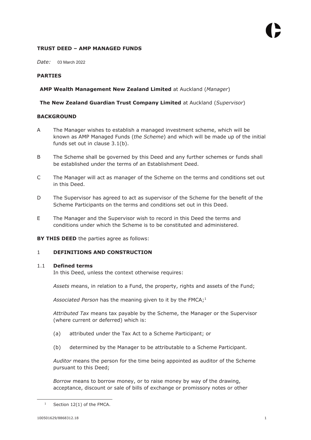# **TRUST DEED – AMP MANAGED FUNDS**

*Date:*  03 March 2022

# **PARTIES**

# **AMP Wealth Management New Zealand Limited** at Auckland (*Manager*)

# **The New Zealand Guardian Trust Company Limited** at Auckland (*Supervisor*)

# **BACKGROUND**

- A The Manager wishes to establish a managed investment scheme, which will be known as AMP Managed Funds (*the Scheme*) and which will be made up of the initial funds set out in clause 3.1(b).
- B The Scheme shall be governed by this Deed and any further schemes or funds shall be established under the terms of an Establishment Deed.
- C The Manager will act as manager of the Scheme on the terms and conditions set out in this Deed.
- D The Supervisor has agreed to act as supervisor of the Scheme for the benefit of the Scheme Participants on the terms and conditions set out in this Deed.
- E The Manager and the Supervisor wish to record in this Deed the terms and conditions under which the Scheme is to be constituted and administered.

**BY THIS DEED** the parties agree as follows:

# 1 **DEFINITIONS AND CONSTRUCTION**

#### 1.1 **Defined terms**

In this Deed, unless the context otherwise requires:

*Assets* means, in relation to a Fund, the property, rights and assets of the Fund;

Associated Person has the meaning given to it by the FMCA;<sup>1</sup>

*Attributed Tax* means tax payable by the Scheme, the Manager or the Supervisor (where current or deferred) which is:

- (a) attributed under the Tax Act to a Scheme Participant; or
- (b) determined by the Manager to be attributable to a Scheme Participant.

*Auditor* means the person for the time being appointed as auditor of the Scheme pursuant to this Deed;

*Borrow* means to borrow money, or to raise money by way of the drawing, acceptance, discount or sale of bills of exchange or promissory notes or other

<sup>1</sup> Section 12(1) of the FMCA.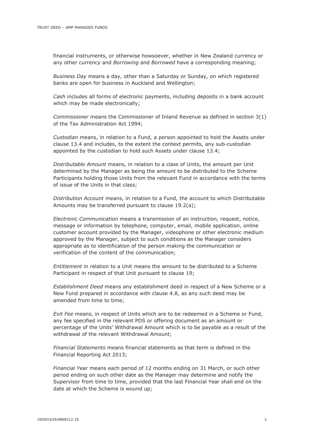financial instruments, or otherwise howsoever, whether in New Zealand currency or any other currency and *Borrowing* and *Borrowed* have a corresponding meaning;

*Business Day* means a day, other than a Saturday or Sunday, on which registered banks are open for business in Auckland and Wellington;

*Cash* includes all forms of electronic payments, including deposits in a bank account which may be made electronically;

*Commissioner* means the Commissioner of Inland Revenue as defined in section 3(1) of the Tax Administration Act 1994;

*Custodian* means, in relation to a Fund, a person appointed to hold the Assets under clause 13.4 and includes, to the extent the context permits, any sub-custodian appointed by the custodian to hold such Assets under clause 13.4;

*Distributable Amount* means, in relation to a class of Units, the amount per Unit determined by the Manager as being the amount to be distributed to the Scheme Participants holding those Units from the relevant Fund in accordance with the terms of issue of the Units in that class;

*Distribution Account* means, in relation to a Fund, the account to which Distributable Amounts may be transferred pursuant to clause 19.2(a);

*Electronic Communication* means a transmission of an instruction, request, notice, message or information by telephone, computer, email, mobile application, online customer account provided by the Manager, videophone or other electronic medium approved by the Manager, subject to such conditions as the Manager considers appropriate as to identification of the person making the communication or verification of the content of the communication;

*Entitlement* in relation to a Unit means the amount to be distributed to a Scheme Participant in respect of that Unit pursuant to clause 19;

*Establishment Deed* means any establishment deed in respect of a New Scheme or a New Fund prepared in accordance with clause 4.8, as any such deed may be amended from time to time;

*Exit Fee* means, in respect of Units which are to be redeemed in a Scheme or Fund, any fee specified in the relevant PDS or offering document as an amount or percentage of the Units' Withdrawal Amount which is to be payable as a result of the withdrawal of the relevant Withdrawal Amount;

*Financial Statements* means financial statements as that term is defined in the Financial Reporting Act 2013;

*Financial Year* means each period of 12 months ending on 31 March, or such other period ending on such other date as the Manager may determine and notify the Supervisor from time to time, provided that the last Financial Year shall end on the date at which the Scheme is wound up;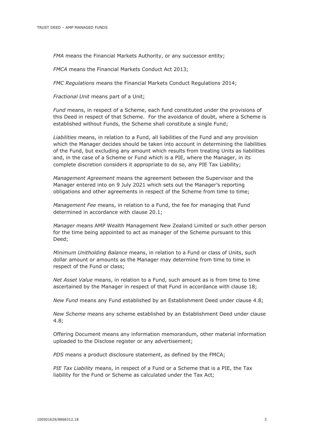*FMA* means the Financial Markets Authority, or any successor entity;

*FMCA* means the Financial Markets Conduct Act 2013;

*FMC Regulations* means the Financial Markets Conduct Regulations 2014;

*Fractional Unit* means part of a Unit;

*Fund* means, in respect of a Scheme, each fund constituted under the provisions of this Deed in respect of that Scheme. For the avoidance of doubt, where a Scheme is established without Funds, the Scheme shall constitute a single Fund;

*Liabilities* means, in relation to a Fund, all liabilities of the Fund and any provision which the Manager decides should be taken into account in determining the liabilities of the Fund, but excluding any amount which results from treating Units as liabilities and, in the case of a Scheme or Fund which is a PIE, where the Manager, in its complete discretion considers it appropriate to do so, any PIE Tax Liability;

*Management Agreement* means the agreement between the Supervisor and the Manager entered into on 9 July 2021 which sets out the Manager's reporting obligations and other agreements in respect of the Scheme from time to time;

*Management Fee* means, in relation to a Fund, the fee for managing that Fund determined in accordance with clause 20.1;

*Manager* means AMP Wealth Management New Zealand Limited or such other person for the time being appointed to act as manager of the Scheme pursuant to this Deed;

*Minimum Unitholding Balance* means, in relation to a Fund or class of Units, such dollar amount or amounts as the Manager may determine from time to time in respect of the Fund or class;

*Net Asset Value* means, in relation to a Fund, such amount as is from time to time ascertained by the Manager in respect of that Fund in accordance with clause 18;

*New Fund* means any Fund established by an Establishment Deed under clause 4.8;

*New Scheme* means any scheme established by an Establishment Deed under clause 4.8;

Offering Document means any information memorandum, other material information uploaded to the Disclose register or any advertisement;

*PDS* means a product disclosure statement, as defined by the FMCA;

*PIE Tax Liability* means, in respect of a Fund or a Scheme that is a PIE, the Tax liability for the Fund or Scheme as calculated under the Tax Act;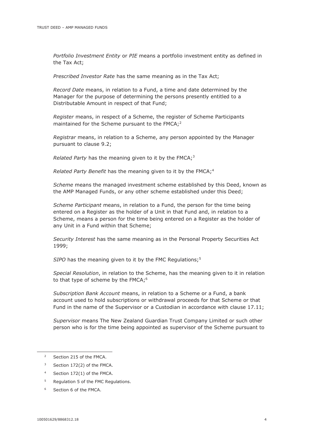*Portfolio Investment Entity* or *PIE* means a portfolio investment entity as defined in the Tax Act;

*Prescribed Investor Rate* has the same meaning as in the Tax Act;

*Record Date* means, in relation to a Fund, a time and date determined by the Manager for the purpose of determining the persons presently entitled to a Distributable Amount in respect of that Fund;

*Register* means, in respect of a Scheme, the register of Scheme Participants maintained for the Scheme pursuant to the FMCA;<sup>2</sup>

*Registrar* means, in relation to a Scheme, any person appointed by the Manager pursuant to clause 9.2;

*Related Party* has the meaning given to it by the FMCA;<sup>3</sup>

*Related Party Benefit* has the meaning given to it by the FMCA;<sup>4</sup>

*Scheme* means the managed investment scheme established by this Deed, known as the AMP Managed Funds, or any other scheme established under this Deed;

*Scheme Participant* means, in relation to a Fund, the person for the time being entered on a Register as the holder of a Unit in that Fund and, in relation to a Scheme, means a person for the time being entered on a Register as the holder of any Unit in a Fund within that Scheme;

*Security Interest* has the same meaning as in the Personal Property Securities Act 1999;

*SIPO* has the meaning given to it by the FMC Regulations;<sup>5</sup>

*Special Resolution*, in relation to the Scheme, has the meaning given to it in relation to that type of scheme by the FMCA;<sup>6</sup>

*Subscription Bank Account* means, in relation to a Scheme or a Fund, a bank account used to hold subscriptions or withdrawal proceeds for that Scheme or that Fund in the name of the Supervisor or a Custodian in accordance with clause 17.11;

*Supervisor* means The New Zealand Guardian Trust Company Limited or such other person who is for the time being appointed as supervisor of the Scheme pursuant to

- 4 Section 172(1) of the FMCA.
- 5 Regulation 5 of the FMC Regulations.
- 6 Section 6 of the FMCA.

<sup>2</sup> Section 215 of the FMCA.

<sup>3</sup> Section 172(2) of the FMCA.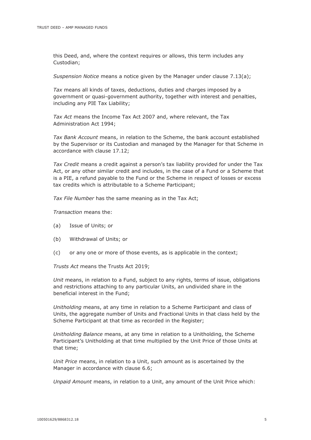this Deed, and, where the context requires or allows, this term includes any Custodian;

*Suspension Notice* means a notice given by the Manager under clause 7.13(a);

*Tax* means all kinds of taxes, deductions, duties and charges imposed by a government or quasi-government authority, together with interest and penalties, including any PIE Tax Liability;

*Tax Act* means the Income Tax Act 2007 and, where relevant, the Tax Administration Act 1994;

*Tax Bank Account* means, in relation to the Scheme, the bank account established by the Supervisor or its Custodian and managed by the Manager for that Scheme in accordance with clause 17.12;

*Tax Credit* means a credit against a person's tax liability provided for under the Tax Act, or any other similar credit and includes, in the case of a Fund or a Scheme that is a PIE, a refund payable to the Fund or the Scheme in respect of losses or excess tax credits which is attributable to a Scheme Participant;

*Tax File Number* has the same meaning as in the Tax Act;

*Transaction* means the:

- (a) Issue of Units; or
- (b) Withdrawal of Units; or
- (c) or any one or more of those events, as is applicable in the context;

*Trusts Act* means the Trusts Act 2019;

*Unit* means, in relation to a Fund, subject to any rights, terms of issue, obligations and restrictions attaching to any particular Units, an undivided share in the beneficial interest in the Fund;

*Unitholding* means, at any time in relation to a Scheme Participant and class of Units, the aggregate number of Units and Fractional Units in that class held by the Scheme Participant at that time as recorded in the Register;

*Unitholding Balance* means, at any time in relation to a Unitholding, the Scheme Participant's Unitholding at that time multiplied by the Unit Price of those Units at that time;

*Unit Price* means, in relation to a Unit, such amount as is ascertained by the Manager in accordance with clause 6.6;

*Unpaid Amount* means, in relation to a Unit, any amount of the Unit Price which: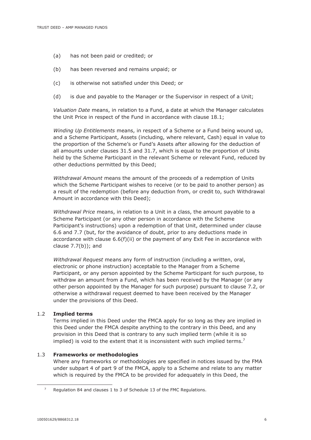- (a) has not been paid or credited; or
- (b) has been reversed and remains unpaid; or
- (c) is otherwise not satisfied under this Deed; or
- (d) is due and payable to the Manager or the Supervisor in respect of a Unit;

*Valuation Date* means, in relation to a Fund, a date at which the Manager calculates the Unit Price in respect of the Fund in accordance with clause 18.1;

*Winding Up Entitlements* means, in respect of a Scheme or a Fund being wound up, and a Scheme Participant, Assets (including, where relevant, Cash) equal in value to the proportion of the Scheme's or Fund's Assets after allowing for the deduction of all amounts under clauses 31.5 and 31.7, which is equal to the proportion of Units held by the Scheme Participant in the relevant Scheme or relevant Fund, reduced by other deductions permitted by this Deed;

*Withdrawal Amount* means the amount of the proceeds of a redemption of Units which the Scheme Participant wishes to receive (or to be paid to another person) as a result of the redemption (before any deduction from, or credit to, such Withdrawal Amount in accordance with this Deed);

*Withdrawal Price* means, in relation to a Unit in a class, the amount payable to a Scheme Participant (or any other person in accordance with the Scheme Participant's instructions) upon a redemption of that Unit, determined under clause 6.6 and 7.7 (but, for the avoidance of doubt, prior to any deductions made in accordance with clause  $6.6(f)(ii)$  or the payment of any Exit Fee in accordance with clause  $7.7(b)$ ; and

*Withdrawal Request* means any form of instruction (including a written, oral, electronic or phone instruction) acceptable to the Manager from a Scheme Participant, or any person appointed by the Scheme Participant for such purpose, to withdraw an amount from a Fund, which has been received by the Manager (or any other person appointed by the Manager for such purpose) pursuant to clause 7.2, or otherwise a withdrawal request deemed to have been received by the Manager under the provisions of this Deed.

#### 1.2 **Implied terms**

Terms implied in this Deed under the FMCA apply for so long as they are implied in this Deed under the FMCA despite anything to the contrary in this Deed, and any provision in this Deed that is contrary to any such implied term (while it is so implied) is void to the extent that it is inconsistent with such implied terms.<sup>7</sup>

#### 1.3 **Frameworks or methodologies**

Where any frameworks or methodologies are specified in notices issued by the FMA under subpart 4 of part 9 of the FMCA, apply to a Scheme and relate to any matter which is required by the FMCA to be provided for adequately in this Deed, the

<sup>7</sup> Regulation 84 and clauses 1 to 3 of Schedule 13 of the FMC Regulations.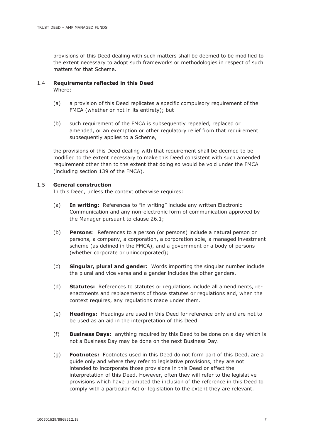provisions of this Deed dealing with such matters shall be deemed to be modified to the extent necessary to adopt such frameworks or methodologies in respect of such matters for that Scheme.

#### 1.4 **Requirements reflected in this Deed**  Where:

- (a) a provision of this Deed replicates a specific compulsory requirement of the FMCA (whether or not in its entirety); but
- (b) such requirement of the FMCA is subsequently repealed, replaced or amended, or an exemption or other regulatory relief from that requirement subsequently applies to a Scheme,

the provisions of this Deed dealing with that requirement shall be deemed to be modified to the extent necessary to make this Deed consistent with such amended requirement other than to the extent that doing so would be void under the FMCA (including section 139 of the FMCA).

#### 1.5 **General construction**

In this Deed, unless the context otherwise requires:

- (a) **In writing:** References to "in writing" include any written Electronic Communication and any non-electronic form of communication approved by the Manager pursuant to clause 26.1;
- (b) **Persons**: References to a person (or persons) include a natural person or persons, a company, a corporation, a corporation sole, a managed investment scheme (as defined in the FMCA), and a government or a body of persons (whether corporate or unincorporated);
- (c) **Singular, plural and gender:** Words importing the singular number include the plural and vice versa and a gender includes the other genders.
- (d) **Statutes:** References to statutes or regulations include all amendments, reenactments and replacements of those statutes or regulations and, when the context requires, any regulations made under them.
- (e) **Headings:** Headings are used in this Deed for reference only and are not to be used as an aid in the interpretation of this Deed.
- (f) **Business Days:** anything required by this Deed to be done on a day which is not a Business Day may be done on the next Business Day.
- (g) **Footnotes:** Footnotes used in this Deed do not form part of this Deed, are a guide only and where they refer to legislative provisions, they are not intended to incorporate those provisions in this Deed or affect the interpretation of this Deed. However, often they will refer to the legislative provisions which have prompted the inclusion of the reference in this Deed to comply with a particular Act or legislation to the extent they are relevant.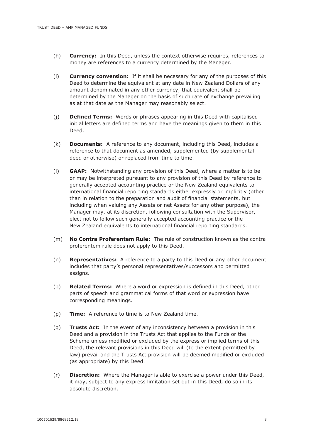- (h) **Currency:** In this Deed, unless the context otherwise requires, references to money are references to a currency determined by the Manager.
- (i) **Currency conversion:** If it shall be necessary for any of the purposes of this Deed to determine the equivalent at any date in New Zealand Dollars of any amount denominated in any other currency, that equivalent shall be determined by the Manager on the basis of such rate of exchange prevailing as at that date as the Manager may reasonably select.
- (j) **Defined Terms:** Words or phrases appearing in this Deed with capitalised initial letters are defined terms and have the meanings given to them in this Deed.
- (k) **Documents:** A reference to any document, including this Deed, includes a reference to that document as amended, supplemented (by supplemental deed or otherwise) or replaced from time to time.
- (l) **GAAP:** Notwithstanding any provision of this Deed, where a matter is to be or may be interpreted pursuant to any provision of this Deed by reference to generally accepted accounting practice or the New Zealand equivalents to international financial reporting standards either expressly or implicitly (other than in relation to the preparation and audit of financial statements, but including when valuing any Assets or net Assets for any other purpose), the Manager may, at its discretion, following consultation with the Supervisor, elect not to follow such generally accepted accounting practice or the New Zealand equivalents to international financial reporting standards.
- (m) **No Contra Proferentem Rule:** The rule of construction known as the contra proferentem rule does not apply to this Deed.
- (n) **Representatives:** A reference to a party to this Deed or any other document includes that party's personal representatives/successors and permitted assigns.
- (o) **Related Terms:** Where a word or expression is defined in this Deed, other parts of speech and grammatical forms of that word or expression have corresponding meanings.
- (p) **Time:** A reference to time is to New Zealand time.
- (q) **Trusts Act:** In the event of any inconsistency between a provision in this Deed and a provision in the Trusts Act that applies to the Funds or the Scheme unless modified or excluded by the express or implied terms of this Deed, the relevant provisions in this Deed will (to the extent permitted by law) prevail and the Trusts Act provision will be deemed modified or excluded (as appropriate) by this Deed.
- (r) **Discretion:** Where the Manager is able to exercise a power under this Deed, it may, subject to any express limitation set out in this Deed, do so in its absolute discretion.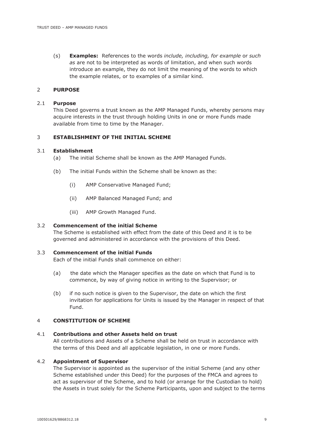(s) **Examples:** References to the words *include, including, for example* or *such as* are not to be interpreted as words of limitation, and when such words introduce an example, they do not limit the meaning of the words to which the example relates, or to examples of a similar kind.

#### 2 **PURPOSE**

#### 2.1 **Purpose**

This Deed governs a trust known as the AMP Managed Funds, whereby persons may acquire interests in the trust through holding Units in one or more Funds made available from time to time by the Manager.

#### 3 **ESTABLISHMENT OF THE INITIAL SCHEME**

#### 3.1 **Establishment**

- (a) The initial Scheme shall be known as the AMP Managed Funds.
- (b) The initial Funds within the Scheme shall be known as the:
	- (i) AMP Conservative Managed Fund;
	- (ii) AMP Balanced Managed Fund; and
	- (iii) AMP Growth Managed Fund.

#### 3.2 **Commencement of the initial Scheme**

The Scheme is established with effect from the date of this Deed and it is to be governed and administered in accordance with the provisions of this Deed.

# 3.3 **Commencement of the initial Funds**

Each of the initial Funds shall commence on either:

- (a) the date which the Manager specifies as the date on which that Fund is to commence, by way of giving notice in writing to the Supervisor; or
- (b) if no such notice is given to the Supervisor, the date on which the first invitation for applications for Units is issued by the Manager in respect of that Fund.

#### 4 **CONSTITUTION OF SCHEME**

#### 4.1 **Contributions and other Assets held on trust**

All contributions and Assets of a Scheme shall be held on trust in accordance with the terms of this Deed and all applicable legislation, in one or more Funds.

#### 4.2 **Appointment of Supervisor**

The Supervisor is appointed as the supervisor of the initial Scheme (and any other Scheme established under this Deed) for the purposes of the FMCA and agrees to act as supervisor of the Scheme, and to hold (or arrange for the Custodian to hold) the Assets in trust solely for the Scheme Participants, upon and subject to the terms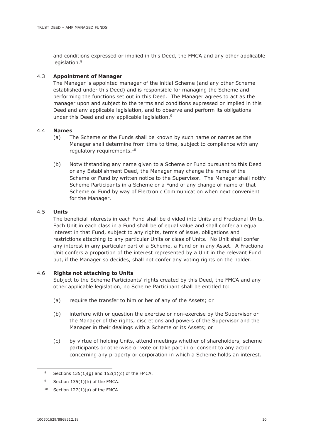and conditions expressed or implied in this Deed, the FMCA and any other applicable legislation.<sup>8</sup>

# 4.3 **Appointment of Manager**

The Manager is appointed manager of the initial Scheme (and any other Scheme established under this Deed) and is responsible for managing the Scheme and performing the functions set out in this Deed. The Manager agrees to act as the manager upon and subject to the terms and conditions expressed or implied in this Deed and any applicable legislation, and to observe and perform its obligations under this Deed and any applicable legislation.<sup>9</sup>

#### 4.4 **Names**

- (a) The Scheme or the Funds shall be known by such name or names as the Manager shall determine from time to time, subject to compliance with any regulatory requirements.<sup>10</sup>
- (b) Notwithstanding any name given to a Scheme or Fund pursuant to this Deed or any Establishment Deed, the Manager may change the name of the Scheme or Fund by written notice to the Supervisor. The Manager shall notify Scheme Participants in a Scheme or a Fund of any change of name of that Scheme or Fund by way of Electronic Communication when next convenient for the Manager.

# 4.5 **Units**

The beneficial interests in each Fund shall be divided into Units and Fractional Units. Each Unit in each class in a Fund shall be of equal value and shall confer an equal interest in that Fund, subject to any rights, terms of issue, obligations and restrictions attaching to any particular Units or class of Units. No Unit shall confer any interest in any particular part of a Scheme, a Fund or in any Asset. A Fractional Unit confers a proportion of the interest represented by a Unit in the relevant Fund but, if the Manager so decides, shall not confer any voting rights on the holder.

#### 4.6 **Rights not attaching to Units**

Subject to the Scheme Participants' rights created by this Deed, the FMCA and any other applicable legislation, no Scheme Participant shall be entitled to:

- (a) require the transfer to him or her of any of the Assets; or
- (b) interfere with or question the exercise or non-exercise by the Supervisor or the Manager of the rights, discretions and powers of the Supervisor and the Manager in their dealings with a Scheme or its Assets; or
- (c) by virtue of holding Units, attend meetings whether of shareholders, scheme participants or otherwise or vote or take part in or consent to any action concerning any property or corporation in which a Scheme holds an interest.

<sup>8</sup> Sections  $135(1)(g)$  and  $152(1)(c)$  of the FMCA.

<sup>9</sup> Section 135(1)(h) of the FMCA.

 $10$  Section 127(1)(a) of the FMCA.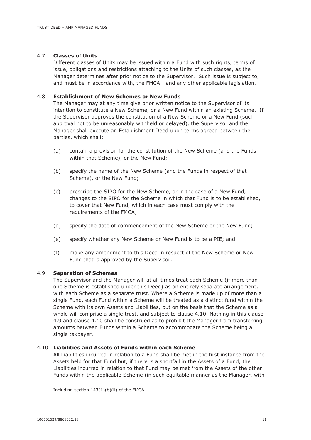# 4.7 **Classes of Units**

Different classes of Units may be issued within a Fund with such rights, terms of issue, obligations and restrictions attaching to the Units of such classes, as the Manager determines after prior notice to the Supervisor. Such issue is subject to, and must be in accordance with, the FMCA<sup>11</sup> and any other applicable legislation.

#### 4.8 **Establishment of New Schemes or New Funds**

The Manager may at any time give prior written notice to the Supervisor of its intention to constitute a New Scheme, or a New Fund within an existing Scheme. If the Supervisor approves the constitution of a New Scheme or a New Fund (such approval not to be unreasonably withheld or delayed), the Supervisor and the Manager shall execute an Establishment Deed upon terms agreed between the parties, which shall:

- (a) contain a provision for the constitution of the New Scheme (and the Funds within that Scheme), or the New Fund;
- (b) specify the name of the New Scheme (and the Funds in respect of that Scheme), or the New Fund;
- (c) prescribe the SIPO for the New Scheme, or in the case of a New Fund, changes to the SIPO for the Scheme in which that Fund is to be established, to cover that New Fund, which in each case must comply with the requirements of the FMCA;
- (d) specify the date of commencement of the New Scheme or the New Fund;
- (e) specify whether any New Scheme or New Fund is to be a PIE; and
- (f) make any amendment to this Deed in respect of the New Scheme or New Fund that is approved by the Supervisor.

#### 4.9 **Separation of Schemes**

The Supervisor and the Manager will at all times treat each Scheme (if more than one Scheme is established under this Deed) as an entirely separate arrangement, with each Scheme as a separate trust. Where a Scheme is made up of more than a single Fund, each Fund within a Scheme will be treated as a distinct fund within the Scheme with its own Assets and Liabilities, but on the basis that the Scheme as a whole will comprise a single trust, and subject to clause 4.10. Nothing in this clause 4.9 and clause 4.10 shall be construed as to prohibit the Manager from transferring amounts between Funds within a Scheme to accommodate the Scheme being a single taxpayer.

#### 4.10 **Liabilities and Assets of Funds within each Scheme**

All Liabilities incurred in relation to a Fund shall be met in the first instance from the Assets held for that Fund but, if there is a shortfall in the Assets of a Fund, the Liabilities incurred in relation to that Fund may be met from the Assets of the other Funds within the applicable Scheme (in such equitable manner as the Manager, with

<sup>&</sup>lt;sup>11</sup> Including section  $143(1)(b)(ii)$  of the FMCA.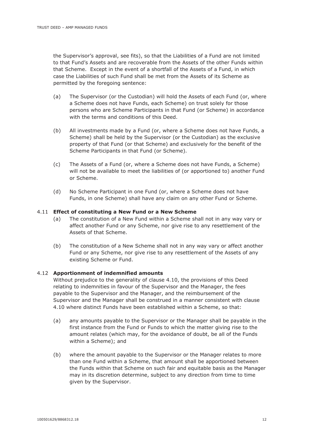the Supervisor's approval, see fits), so that the Liabilities of a Fund are not limited to that Fund's Assets and are recoverable from the Assets of the other Funds within that Scheme. Except in the event of a shortfall of the Assets of a Fund, in which case the Liabilities of such Fund shall be met from the Assets of its Scheme as permitted by the foregoing sentence:

- (a) The Supervisor (or the Custodian) will hold the Assets of each Fund (or, where a Scheme does not have Funds, each Scheme) on trust solely for those persons who are Scheme Participants in that Fund (or Scheme) in accordance with the terms and conditions of this Deed.
- (b) All investments made by a Fund (or, where a Scheme does not have Funds, a Scheme) shall be held by the Supervisor (or the Custodian) as the exclusive property of that Fund (or that Scheme) and exclusively for the benefit of the Scheme Participants in that Fund (or Scheme).
- (c) The Assets of a Fund (or, where a Scheme does not have Funds, a Scheme) will not be available to meet the liabilities of (or apportioned to) another Fund or Scheme.
- (d) No Scheme Participant in one Fund (or, where a Scheme does not have Funds, in one Scheme) shall have any claim on any other Fund or Scheme.

#### 4.11 **Effect of constituting a New Fund or a New Scheme**

- (a) The constitution of a New Fund within a Scheme shall not in any way vary or affect another Fund or any Scheme, nor give rise to any resettlement of the Assets of that Scheme.
- (b) The constitution of a New Scheme shall not in any way vary or affect another Fund or any Scheme, nor give rise to any resettlement of the Assets of any existing Scheme or Fund.

#### 4.12 **Apportionment of indemnified amounts**

Without prejudice to the generality of clause 4.10, the provisions of this Deed relating to indemnities in favour of the Supervisor and the Manager, the fees payable to the Supervisor and the Manager, and the reimbursement of the Supervisor and the Manager shall be construed in a manner consistent with clause 4.10 where distinct Funds have been established within a Scheme, so that:

- (a) any amounts payable to the Supervisor or the Manager shall be payable in the first instance from the Fund or Funds to which the matter giving rise to the amount relates (which may, for the avoidance of doubt, be all of the Funds within a Scheme); and
- (b) where the amount payable to the Supervisor or the Manager relates to more than one Fund within a Scheme, that amount shall be apportioned between the Funds within that Scheme on such fair and equitable basis as the Manager may in its discretion determine, subject to any direction from time to time given by the Supervisor.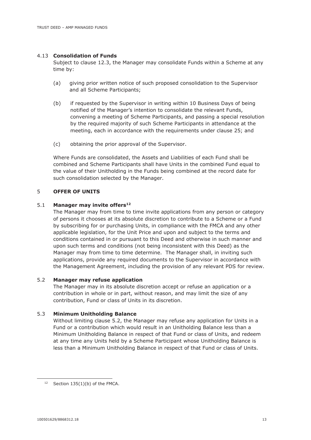#### 4.13 **Consolidation of Funds**

Subject to clause 12.3, the Manager may consolidate Funds within a Scheme at any time by:

- (a) giving prior written notice of such proposed consolidation to the Supervisor and all Scheme Participants;
- (b) if requested by the Supervisor in writing within 10 Business Days of being notified of the Manager's intention to consolidate the relevant Funds, convening a meeting of Scheme Participants, and passing a special resolution by the required majority of such Scheme Participants in attendance at the meeting, each in accordance with the requirements under clause 25; and
- (c) obtaining the prior approval of the Supervisor.

Where Funds are consolidated, the Assets and Liabilities of each Fund shall be combined and Scheme Participants shall have Units in the combined Fund equal to the value of their Unitholding in the Funds being combined at the record date for such consolidation selected by the Manager.

# 5 **OFFER OF UNITS**

#### 5.1 **Manager may invite offers<sup>12</sup>**

The Manager may from time to time invite applications from any person or category of persons it chooses at its absolute discretion to contribute to a Scheme or a Fund by subscribing for or purchasing Units, in compliance with the FMCA and any other applicable legislation, for the Unit Price and upon and subject to the terms and conditions contained in or pursuant to this Deed and otherwise in such manner and upon such terms and conditions (not being inconsistent with this Deed) as the Manager may from time to time determine. The Manager shall, in inviting such applications, provide any required documents to the Supervisor in accordance with the Management Agreement, including the provision of any relevant PDS for review.

# 5.2 **Manager may refuse application**

The Manager may in its absolute discretion accept or refuse an application or a contribution in whole or in part, without reason, and may limit the size of any contribution, Fund or class of Units in its discretion.

# 5.3 **Minimum Unitholding Balance**

Without limiting clause 5.2, the Manager may refuse any application for Units in a Fund or a contribution which would result in an Unitholding Balance less than a Minimum Unitholding Balance in respect of that Fund or class of Units, and redeem at any time any Units held by a Scheme Participant whose Unitholding Balance is less than a Minimum Unitholding Balance in respect of that Fund or class of Units.

 $12$  Section 135(1)(b) of the FMCA.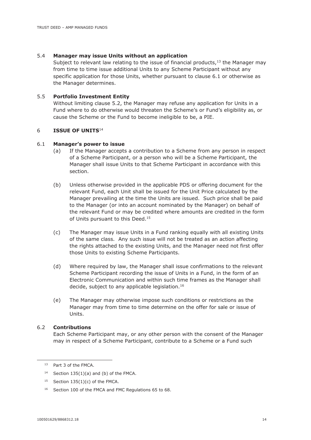# 5.4 **Manager may issue Units without an application**

Subject to relevant law relating to the issue of financial products, $13$  the Manager may from time to time issue additional Units to any Scheme Participant without any specific application for those Units, whether pursuant to clause 6.1 or otherwise as the Manager determines.

# 5.5 **Portfolio Investment Entity**

Without limiting clause 5.2, the Manager may refuse any application for Units in a Fund where to do otherwise would threaten the Scheme's or Fund's eligibility as, or cause the Scheme or the Fund to become ineligible to be, a PIE.

# 6 **ISSUE OF UNITS**<sup>14</sup>

#### 6.1 **Manager's power to issue**

- (a) If the Manager accepts a contribution to a Scheme from any person in respect of a Scheme Participant, or a person who will be a Scheme Participant, the Manager shall issue Units to that Scheme Participant in accordance with this section.
- (b) Unless otherwise provided in the applicable PDS or offering document for the relevant Fund, each Unit shall be issued for the Unit Price calculated by the Manager prevailing at the time the Units are issued. Such price shall be paid to the Manager (or into an account nominated by the Manager) on behalf of the relevant Fund or may be credited where amounts are credited in the form of Units pursuant to this Deed.<sup>15</sup>
- (c) The Manager may issue Units in a Fund ranking equally with all existing Units of the same class. Any such issue will not be treated as an action affecting the rights attached to the existing Units, and the Manager need not first offer those Units to existing Scheme Participants.
- (d) Where required by law, the Manager shall issue confirmations to the relevant Scheme Participant recording the issue of Units in a Fund, in the form of an Electronic Communication and within such time frames as the Manager shall decide, subject to any applicable legislation.<sup>16</sup>
- (e) The Manager may otherwise impose such conditions or restrictions as the Manager may from time to time determine on the offer for sale or issue of Units.

#### 6.2 **Contributions**

Each Scheme Participant may, or any other person with the consent of the Manager may in respect of a Scheme Participant, contribute to a Scheme or a Fund such

<sup>13</sup> Part 3 of the FMCA.

 $14$  Section 135(1)(a) and (b) of the FMCA.

<sup>&</sup>lt;sup>15</sup> Section  $135(1)(c)$  of the FMCA.

<sup>&</sup>lt;sup>16</sup> Section 100 of the FMCA and FMC Regulations 65 to 68.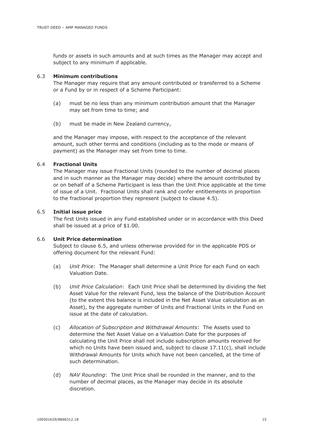funds or assets in such amounts and at such times as the Manager may accept and subject to any minimum if applicable.

#### 6.3 **Minimum contributions**

The Manager may require that any amount contributed or transferred to a Scheme or a Fund by or in respect of a Scheme Participant:

- (a) must be no less than any minimum contribution amount that the Manager may set from time to time; and
- (b) must be made in New Zealand currency,

and the Manager may impose, with respect to the acceptance of the relevant amount, such other terms and conditions (including as to the mode or means of payment) as the Manager may set from time to time.

#### 6.4 **Fractional Units**

The Manager may issue Fractional Units (rounded to the number of decimal places and in such manner as the Manager may decide) where the amount contributed by or on behalf of a Scheme Participant is less than the Unit Price applicable at the time of issue of a Unit. Fractional Units shall rank and confer entitlements in proportion to the fractional proportion they represent (subject to clause 4.5).

#### 6.5 **Initial issue price**

The first Units issued in any Fund established under or in accordance with this Deed shall be issued at a price of \$1.00.

#### 6.6 **Unit Price determination**

Subject to clause 6.5, and unless otherwise provided for in the applicable PDS or offering document for the relevant Fund:

- (a) *Unit Price*: The Manager shall determine a Unit Price for each Fund on each Valuation Date.
- (b) *Unit Price Calculation*: Each Unit Price shall be determined by dividing the Net Asset Value for the relevant Fund, less the balance of the Distribution Account (to the extent this balance is included in the Net Asset Value calculation as an Asset), by the aggregate number of Units and Fractional Units in the Fund on issue at the date of calculation.
- (c) *Allocation of Subscription and Withdrawal Amounts*: The Assets used to determine the Net Asset Value on a Valuation Date for the purposes of calculating the Unit Price shall not include subscription amounts received for which no Units have been issued and, subject to clause 17.11(c), shall include Withdrawal Amounts for Units which have not been cancelled, at the time of such determination.
- (d) *NAV Rounding*: The Unit Price shall be rounded in the manner, and to the number of decimal places, as the Manager may decide in its absolute discretion.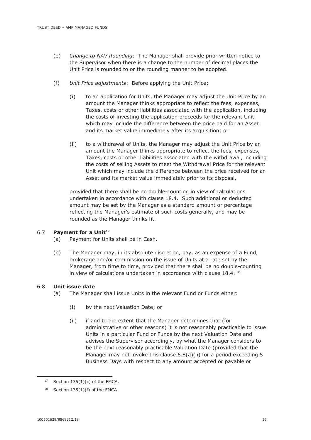- (e) *Change to NAV Rounding*: The Manager shall provide prior written notice to the Supervisor when there is a change to the number of decimal places the Unit Price is rounded to or the rounding manner to be adopted.
- (f) *Unit Price adjustments*: Before applying the Unit Price:
	- (i) to an application for Units, the Manager may adjust the Unit Price by an amount the Manager thinks appropriate to reflect the fees, expenses, Taxes, costs or other liabilities associated with the application, including the costs of investing the application proceeds for the relevant Unit which may include the difference between the price paid for an Asset and its market value immediately after its acquisition; or
	- (ii) to a withdrawal of Units, the Manager may adjust the Unit Price by an amount the Manager thinks appropriate to reflect the fees, expenses, Taxes, costs or other liabilities associated with the withdrawal, including the costs of selling Assets to meet the Withdrawal Price for the relevant Unit which may include the difference between the price received for an Asset and its market value immediately prior to its disposal,

provided that there shall be no double-counting in view of calculations undertaken in accordance with clause 18.4. Such additional or deducted amount may be set by the Manager as a standard amount or percentage reflecting the Manager's estimate of such costs generally, and may be rounded as the Manager thinks fit.

#### 6.7 **Payment for a Unit**<sup>17</sup>

- (a) Payment for Units shall be in Cash.
- (b) The Manager may, in its absolute discretion, pay, as an expense of a Fund, brokerage and/or commission on the issue of Units at a rate set by the Manager, from time to time, provided that there shall be no double-counting in view of calculations undertaken in accordance with clause  $18.4$ .  $^{18}$

#### 6.8 **Unit issue date**

- (a) The Manager shall issue Units in the relevant Fund or Funds either:
	- (i) by the next Valuation Date; or
	- (ii) if and to the extent that the Manager determines that (for administrative or other reasons) it is not reasonably practicable to issue Units in a particular Fund or Funds by the next Valuation Date and advises the Supervisor accordingly, by what the Manager considers to be the next reasonably practicable Valuation Date (provided that the Manager may not invoke this clause  $6.8(a)(ii)$  for a period exceeding 5 Business Days with respect to any amount accepted or payable or

<sup>&</sup>lt;sup>17</sup> Section  $135(1)(c)$  of the FMCA.

 $18$  Section 135(1)(f) of the FMCA.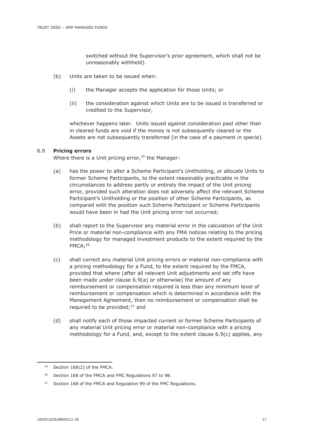switched without the Supervisor's prior agreement, which shall not be unreasonably withheld).

- (b) Units are taken to be issued when:
	- (i) the Manager accepts the application for those Units; or
	- (ii) the consideration against which Units are to be issued is transferred or credited to the Supervisor,

whichever happens later. Units issued against consideration paid other than in cleared funds are void if the money is not subsequently cleared or the Assets are not subsequently transferred (in the case of a payment *in specie*).

#### 6.9 **Pricing errors**

Where there is a Unit pricing error, $19$  the Manager:

- (a) has the power to alter a Scheme Participant's Unitholding, or allocate Units to former Scheme Participants, to the extent reasonably practicable in the circumstances to address partly or entirely the impact of the Unit pricing error, provided such alteration does not adversely affect the relevant Scheme Participant's Unitholding or the position of other Scheme Participants, as compared with the position such Scheme Participant or Scheme Participants would have been in had the Unit pricing error not occurred;
- (b) shall report to the Supervisor any material error in the calculation of the Unit Price or material non-compliance with any FMA notices relating to the pricing methodology for managed investment products to the extent required by the FMCA;<sup>20</sup>
- (c) shall correct any material Unit pricing errors or material non-compliance with a pricing methodology for a Fund, to the extent required by the FMCA, provided that where (after all relevant Unit adjustments and set offs have been made under clause 6.9(a) or otherwise) the amount of any reimbursement or compensation required is less than any minimum level of reimbursement or compensation which is determined in accordance with the Management Agreement, then no reimbursement or compensation shall be required to be provided; $^{21}$  and
- (d) shall notify each of those impacted current or former Scheme Participants of any material Unit pricing error or material non-compliance with a pricing methodology for a Fund, and, except to the extent clause 6.9(c) applies, any

Section 168(2) of the FMCA.

<sup>&</sup>lt;sup>20</sup> Section 168 of the FMCA and FMC Regulations 97 to 98.

<sup>&</sup>lt;sup>21</sup> Section 168 of the FMCA and Regulation 99 of the FMC Regulations.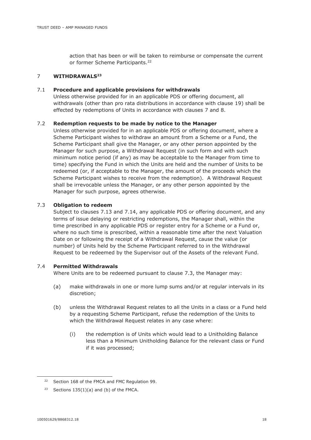action that has been or will be taken to reimburse or compensate the current or former Scheme Participants.<sup>22</sup>

#### 7 **WITHDRAWALS<sup>23</sup>**

#### 7.1 **Procedure and applicable provisions for withdrawals**

Unless otherwise provided for in an applicable PDS or offering document, all withdrawals (other than pro rata distributions in accordance with clause 19) shall be effected by redemptions of Units in accordance with clauses 7 and 8.

#### 7.2 **Redemption requests to be made by notice to the Manager**

Unless otherwise provided for in an applicable PDS or offering document, where a Scheme Participant wishes to withdraw an amount from a Scheme or a Fund, the Scheme Participant shall give the Manager, or any other person appointed by the Manager for such purpose, a Withdrawal Request (in such form and with such minimum notice period (if any) as may be acceptable to the Manager from time to time) specifying the Fund in which the Units are held and the number of Units to be redeemed (or, if acceptable to the Manager, the amount of the proceeds which the Scheme Participant wishes to receive from the redemption). A Withdrawal Request shall be irrevocable unless the Manager, or any other person appointed by the Manager for such purpose, agrees otherwise.

#### 7.3 **Obligation to redeem**

Subject to clauses 7.13 and 7.14, any applicable PDS or offering document, and any terms of issue delaying or restricting redemptions, the Manager shall, within the time prescribed in any applicable PDS or register entry for a Scheme or a Fund or, where no such time is prescribed, within a reasonable time after the next Valuation Date on or following the receipt of a Withdrawal Request, cause the value (or number) of Units held by the Scheme Participant referred to in the Withdrawal Request to be redeemed by the Supervisor out of the Assets of the relevant Fund.

#### 7.4 **Permitted Withdrawals**

Where Units are to be redeemed pursuant to clause 7.3, the Manager may:

- (a) make withdrawals in one or more lump sums and/or at regular intervals in its discretion;
- (b) unless the Withdrawal Request relates to all the Units in a class or a Fund held by a requesting Scheme Participant, refuse the redemption of the Units to which the Withdrawal Request relates in any case where:
	- (i) the redemption is of Units which would lead to a Unitholding Balance less than a Minimum Unitholding Balance for the relevant class or Fund if it was processed;

<sup>&</sup>lt;sup>22</sup> Section 168 of the FMCA and FMC Regulation 99.

<sup>&</sup>lt;sup>23</sup> Sections  $135(1)(a)$  and (b) of the FMCA.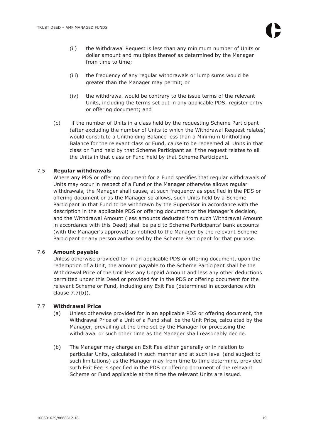- (ii) the Withdrawal Request is less than any minimum number of Units or dollar amount and multiples thereof as determined by the Manager from time to time;
- (iii) the frequency of any regular withdrawals or lump sums would be greater than the Manager may permit; or
- (iv) the withdrawal would be contrary to the issue terms of the relevant Units, including the terms set out in any applicable PDS, register entry or offering document; and
- (c) if the number of Units in a class held by the requesting Scheme Participant (after excluding the number of Units to which the Withdrawal Request relates) would constitute a Unitholding Balance less than a Minimum Unitholding Balance for the relevant class or Fund, cause to be redeemed all Units in that class or Fund held by that Scheme Participant as if the request relates to all the Units in that class or Fund held by that Scheme Participant.

# 7.5 **Regular withdrawals**

Where any PDS or offering document for a Fund specifies that regular withdrawals of Units may occur in respect of a Fund or the Manager otherwise allows regular withdrawals, the Manager shall cause, at such frequency as specified in the PDS or offering document or as the Manager so allows, such Units held by a Scheme Participant in that Fund to be withdrawn by the Supervisor in accordance with the description in the applicable PDS or offering document or the Manager's decision, and the Withdrawal Amount (less amounts deducted from such Withdrawal Amount in accordance with this Deed) shall be paid to Scheme Participants' bank accounts (with the Manager's approval) as notified to the Manager by the relevant Scheme Participant or any person authorised by the Scheme Participant for that purpose.

# 7.6 **Amount payable**

Unless otherwise provided for in an applicable PDS or offering document, upon the redemption of a Unit, the amount payable to the Scheme Participant shall be the Withdrawal Price of the Unit less any Unpaid Amount and less any other deductions permitted under this Deed or provided for in the PDS or offering document for the relevant Scheme or Fund, including any Exit Fee (determined in accordance with clause 7.7(b)).

# 7.7 **Withdrawal Price**

- (a) Unless otherwise provided for in an applicable PDS or offering document, the Withdrawal Price of a Unit of a Fund shall be the Unit Price, calculated by the Manager, prevailing at the time set by the Manager for processing the withdrawal or such other time as the Manager shall reasonably decide.
- (b) The Manager may charge an Exit Fee either generally or in relation to particular Units, calculated in such manner and at such level (and subject to such limitations) as the Manager may from time to time determine, provided such Exit Fee is specified in the PDS or offering document of the relevant Scheme or Fund applicable at the time the relevant Units are issued.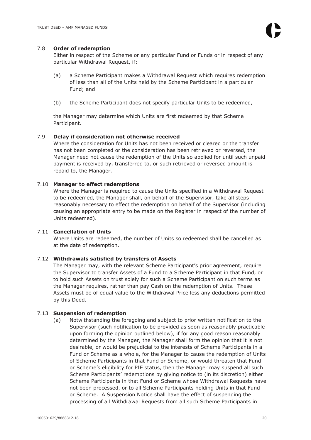# 7.8 **Order of redemption**

Either in respect of the Scheme or any particular Fund or Funds or in respect of any particular Withdrawal Request, if:

- (a) a Scheme Participant makes a Withdrawal Request which requires redemption of less than all of the Units held by the Scheme Participant in a particular Fund; and
- (b) the Scheme Participant does not specify particular Units to be redeemed,

the Manager may determine which Units are first redeemed by that Scheme Participant.

# 7.9 **Delay if consideration not otherwise received**

Where the consideration for Units has not been received or cleared or the transfer has not been completed or the consideration has been retrieved or reversed, the Manager need not cause the redemption of the Units so applied for until such unpaid payment is received by, transferred to, or such retrieved or reversed amount is repaid to, the Manager.

#### 7.10 **Manager to effect redemptions**

Where the Manager is required to cause the Units specified in a Withdrawal Request to be redeemed, the Manager shall, on behalf of the Supervisor, take all steps reasonably necessary to effect the redemption on behalf of the Supervisor (including causing an appropriate entry to be made on the Register in respect of the number of Units redeemed).

# 7.11 **Cancellation of Units**

Where Units are redeemed, the number of Units so redeemed shall be cancelled as at the date of redemption.

#### 7.12 **Withdrawals satisfied by transfers of Assets**

The Manager may, with the relevant Scheme Participant's prior agreement, require the Supervisor to transfer Assets of a Fund to a Scheme Participant in that Fund, or to hold such Assets on trust solely for such a Scheme Participant on such terms as the Manager requires, rather than pay Cash on the redemption of Units. These Assets must be of equal value to the Withdrawal Price less any deductions permitted by this Deed.

#### 7.13 **Suspension of redemption**

(a) Notwithstanding the foregoing and subject to prior written notification to the Supervisor (such notification to be provided as soon as reasonably practicable upon forming the opinion outlined below), if for any good reason reasonably determined by the Manager, the Manager shall form the opinion that it is not desirable, or would be prejudicial to the interests of Scheme Participants in a Fund or Scheme as a whole, for the Manager to cause the redemption of Units of Scheme Participants in that Fund or Scheme, or would threaten that Fund or Scheme's eligibility for PIE status, then the Manager may suspend all such Scheme Participants' redemptions by giving notice to (in its discretion) either Scheme Participants in that Fund or Scheme whose Withdrawal Requests have not been processed, or to all Scheme Participants holding Units in that Fund or Scheme. A Suspension Notice shall have the effect of suspending the processing of all Withdrawal Requests from all such Scheme Participants in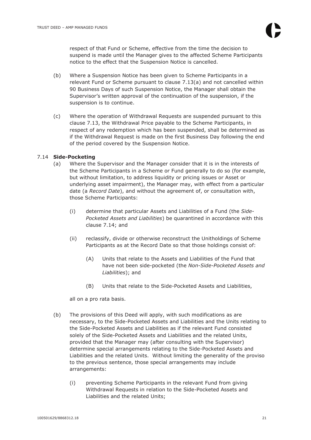respect of that Fund or Scheme, effective from the time the decision to suspend is made until the Manager gives to the affected Scheme Participants notice to the effect that the Suspension Notice is cancelled.

- (b) Where a Suspension Notice has been given to Scheme Participants in a relevant Fund or Scheme pursuant to clause 7.13(a) and not cancelled within 90 Business Days of such Suspension Notice, the Manager shall obtain the Supervisor's written approval of the continuation of the suspension, if the suspension is to continue.
- (c) Where the operation of Withdrawal Requests are suspended pursuant to this clause 7.13, the Withdrawal Price payable to the Scheme Participants, in respect of any redemption which has been suspended, shall be determined as if the Withdrawal Request is made on the first Business Day following the end of the period covered by the Suspension Notice.

# 7.14 **Side-Pocketing**

- (a) Where the Supervisor and the Manager consider that it is in the interests of the Scheme Participants in a Scheme or Fund generally to do so (for example, but without limitation, to address liquidity or pricing issues or Asset or underlying asset impairment), the Manager may, with effect from a particular date (a *Record Date*), and without the agreement of, or consultation with, those Scheme Participants:
	- (i) determine that particular Assets and Liabilities of a Fund (the *Side-Pocketed Assets and Liabilities*) be quarantined in accordance with this clause 7.14; and
	- (ii) reclassify, divide or otherwise reconstruct the Unitholdings of Scheme Participants as at the Record Date so that those holdings consist of:
		- (A) Units that relate to the Assets and Liabilities of the Fund that have not been side-pocketed (the *Non-Side-Pocketed Assets and Liabilities*); and
		- (B) Units that relate to the Side-Pocketed Assets and Liabilities,

all on a pro rata basis.

- (b) The provisions of this Deed will apply, with such modifications as are necessary, to the Side-Pocketed Assets and Liabilities and the Units relating to the Side-Pocketed Assets and Liabilities as if the relevant Fund consisted solely of the Side-Pocketed Assets and Liabilities and the related Units, provided that the Manager may (after consulting with the Supervisor) determine special arrangements relating to the Side-Pocketed Assets and Liabilities and the related Units. Without limiting the generality of the proviso to the previous sentence, those special arrangements may include arrangements:
	- (i) preventing Scheme Participants in the relevant Fund from giving Withdrawal Requests in relation to the Side-Pocketed Assets and Liabilities and the related Units;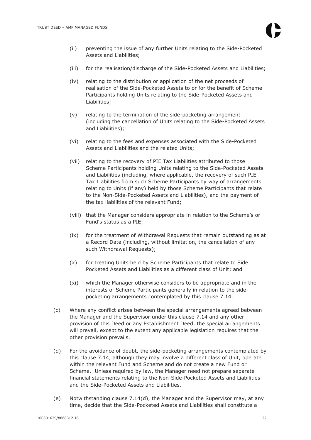- (ii) preventing the issue of any further Units relating to the Side-Pocketed Assets and Liabilities;
- (iii) for the realisation/discharge of the Side-Pocketed Assets and Liabilities;
- (iv) relating to the distribution or application of the net proceeds of realisation of the Side-Pocketed Assets to or for the benefit of Scheme Participants holding Units relating to the Side-Pocketed Assets and Liabilities;
- (v) relating to the termination of the side-pocketing arrangement (including the cancellation of Units relating to the Side-Pocketed Assets and Liabilities);
- (vi) relating to the fees and expenses associated with the Side-Pocketed Assets and Liabilities and the related Units;
- (vii) relating to the recovery of PIE Tax Liabilities attributed to those Scheme Participants holding Units relating to the Side-Pocketed Assets and Liabilities (including, where applicable, the recovery of such PIE Tax Liabilities from such Scheme Participants by way of arrangements relating to Units (if any) held by those Scheme Participants that relate to the Non-Side-Pocketed Assets and Liabilities), and the payment of the tax liabilities of the relevant Fund;
- (viii) that the Manager considers appropriate in relation to the Scheme's or Fund's status as a PIE;
- (ix) for the treatment of Withdrawal Requests that remain outstanding as at a Record Date (including, without limitation, the cancellation of any such Withdrawal Requests);
- (x) for treating Units held by Scheme Participants that relate to Side Pocketed Assets and Liabilities as a different class of Unit; and
- (xi) which the Manager otherwise considers to be appropriate and in the interests of Scheme Participants generally in relation to the sidepocketing arrangements contemplated by this clause 7.14.
- (c) Where any conflict arises between the special arrangements agreed between the Manager and the Supervisor under this clause 7.14 and any other provision of this Deed or any Establishment Deed, the special arrangements will prevail, except to the extent any applicable legislation requires that the other provision prevails.
- (d) For the avoidance of doubt, the side-pocketing arrangements contemplated by this clause 7.14, although they may involve a different class of Unit, operate within the relevant Fund and Scheme and do not create a new Fund or Scheme. Unless required by law, the Manager need not prepare separate financial statements relating to the Non-Side-Pocketed Assets and Liabilities and the Side-Pocketed Assets and Liabilities.
- (e) Notwithstanding clause 7.14(d), the Manager and the Supervisor may, at any time, decide that the Side-Pocketed Assets and Liabilities shall constitute a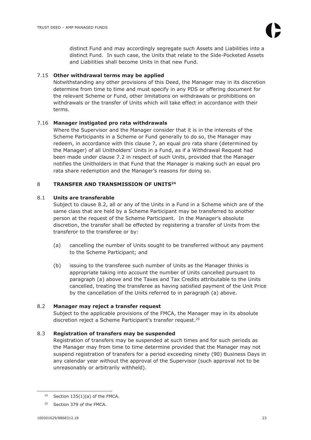distinct Fund and may accordingly segregate such Assets and Liabilities into a distinct Fund. In such case, the Units that relate to the Side-Pocketed Assets and Liabilities shall become Units in that new Fund.

# 7.15 **Other withdrawal terms may be applied**

Notwithstanding any other provisions of this Deed, the Manager may in its discretion determine from time to time and must specify in any PDS or offering document for the relevant Scheme or Fund, other limitations on withdrawals or prohibitions on withdrawals or the transfer of Units which will take effect in accordance with their terms.

# 7.16 **Manager instigated pro rata withdrawals**

Where the Supervisor and the Manager consider that it is in the interests of the Scheme Participants in a Scheme or Fund generally to do so, the Manager may redeem, in accordance with this clause 7, an equal pro rata share (determined by the Manager) of all Unitholders' Units in a Fund, as if a Withdrawal Request had been made under clause 7.2 in respect of such Units, provided that the Manager notifies the Unitholders in that Fund that the Manager is making such an equal pro rata share redemption and the Manager's reasons for doing so.

# 8 **TRANSFER AND TRANSMISSION OF UNITS<sup>24</sup>**

# 8.1 **Units are transferable**

Subject to clause 8.2, all or any of the Units in a Fund in a Scheme which are of the same class that are held by a Scheme Participant may be transferred to another person at the request of the Scheme Participant. In the Manager's absolute discretion, the transfer shall be effected by registering a transfer of Units from the transferor to the transferee or by:

- (a) cancelling the number of Units sought to be transferred without any payment to the Scheme Participant; and
- (b) issuing to the transferee such number of Units as the Manager thinks is appropriate taking into account the number of Units cancelled pursuant to paragraph (a) above and the Taxes and Tax Credits attributable to the Units cancelled, treating the transferee as having satisfied payment of the Unit Price by the cancellation of the Units referred to in paragraph (a) above.

# 8.2 **Manager may reject a transfer request**

Subject to the applicable provisions of the FMCA, the Manager may in its absolute discretion reject a Scheme Participant's transfer request. 25

# 8.3 **Registration of transfers may be suspended**

Registration of transfers may be suspended at such times and for such periods as the Manager may from time to time determine provided that the Manager may not suspend registration of transfers for a period exceeding ninety (90) Business Days in any calendar year without the approval of the Supervisor (such approval not to be unreasonably or arbitrarily withheld).

 $24$  Section 135(1)(a) of the FMCA.

<sup>25</sup> Section 379 of the FMCA.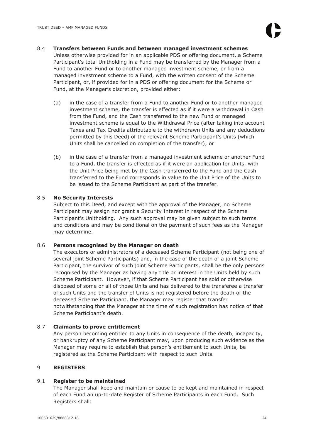8.4 **Transfers between Funds and between managed investment schemes** 

Unless otherwise provided for in an applicable PDS or offering document, a Scheme Participant's total Unitholding in a Fund may be transferred by the Manager from a Fund to another Fund or to another managed investment scheme, or from a managed investment scheme to a Fund, with the written consent of the Scheme Participant, or, if provided for in a PDS or offering document for the Scheme or Fund, at the Manager's discretion, provided either:

- (a) in the case of a transfer from a Fund to another Fund or to another managed investment scheme, the transfer is effected as if it were a withdrawal in Cash from the Fund, and the Cash transferred to the new Fund or managed investment scheme is equal to the Withdrawal Price (after taking into account Taxes and Tax Credits attributable to the withdrawn Units and any deductions permitted by this Deed) of the relevant Scheme Participant's Units (which Units shall be cancelled on completion of the transfer); or
- (b) in the case of a transfer from a managed investment scheme or another Fund to a Fund, the transfer is effected as if it were an application for Units, with the Unit Price being met by the Cash transferred to the Fund and the Cash transferred to the Fund corresponds in value to the Unit Price of the Units to be issued to the Scheme Participant as part of the transfer.

# 8.5 **No Security Interests**

Subject to this Deed, and except with the approval of the Manager, no Scheme Participant may assign nor grant a Security Interest in respect of the Scheme Participant's Unitholding. Any such approval may be given subject to such terms and conditions and may be conditional on the payment of such fees as the Manager may determine.

# 8.6 **Persons recognised by the Manager on death**

The executors or administrators of a deceased Scheme Participant (not being one of several joint Scheme Participants) and, in the case of the death of a joint Scheme Participant, the survivor of such joint Scheme Participants, shall be the only persons recognised by the Manager as having any title or interest in the Units held by such Scheme Participant. However, if that Scheme Participant has sold or otherwise disposed of some or all of those Units and has delivered to the transferee a transfer of such Units and the transfer of Units is not registered before the death of the deceased Scheme Participant, the Manager may register that transfer notwithstanding that the Manager at the time of such registration has notice of that Scheme Participant's death.

# 8.7 **Claimants to prove entitlement**

Any person becoming entitled to any Units in consequence of the death, incapacity, or bankruptcy of any Scheme Participant may, upon producing such evidence as the Manager may require to establish that person's entitlement to such Units, be registered as the Scheme Participant with respect to such Units.

# 9 **REGISTERS**

# 9.1 **Register to be maintained**

The Manager shall keep and maintain or cause to be kept and maintained in respect of each Fund an up-to-date Register of Scheme Participants in each Fund. Such Registers shall: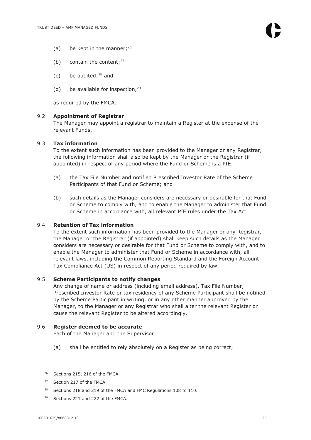- (a) be kept in the manner;  $26$
- (b) contain the content; $27$
- (c) be audited; $28$  and
- (d) be available for inspection,  $29$

as required by the FMCA.

# 9.2 **Appointment of Registrar**

The Manager may appoint a registrar to maintain a Register at the expense of the relevant Funds.

# 9.3 **Tax information**

To the extent such information has been provided to the Manager or any Registrar, the following information shall also be kept by the Manager or the Registrar (if appointed) in respect of any period where the Fund or Scheme is a PIE:

- (a) the Tax File Number and notified Prescribed Investor Rate of the Scheme Participants of that Fund or Scheme; and
- (b) such details as the Manager considers are necessary or desirable for that Fund or Scheme to comply with, and to enable the Manager to administer that Fund or Scheme in accordance with, all relevant PIE rules under the Tax Act.

# 9.4 **Retention of Tax information**

To the extent such information has been provided to the Manager or any Registrar, the Manager or the Registrar (if appointed) shall keep such details as the Manager considers are necessary or desirable for that Fund or Scheme to comply with, and to enable the Manager to administer that Fund or Scheme in accordance with, all relevant laws, including the Common Reporting Standard and the Foreign Account Tax Compliance Act (US) in respect of any period required by law.

# 9.5 **Scheme Participants to notify changes**

Any change of name or address (including email address), Tax File Number, Prescribed Investor Rate or tax residency of any Scheme Participant shall be notified by the Scheme Participant in writing, or in any other manner approved by the Manager, to the Manager or any Registrar who shall alter the relevant Register or cause the relevant Register to be altered accordingly.

# 9.6 **Register deemed to be accurate**

Each of the Manager and the Supervisor:

(a) shall be entitled to rely absolutely on a Register as being correct;

<sup>&</sup>lt;sup>26</sup> Sections 215, 216 of the FMCA.

<sup>27</sup> Section 217 of the FMCA.

<sup>&</sup>lt;sup>28</sup> Sections 218 and 219 of the FMCA and FMC Regulations 108 to 110.

<sup>29</sup> Sections 221 and 222 of the FMCA.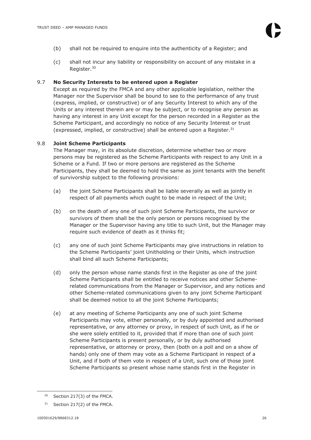- (b) shall not be required to enquire into the authenticity of a Register; and
- (c) shall not incur any liability or responsibility on account of any mistake in a Register.<sup>30</sup>

#### 9.7 **No Security Interests to be entered upon a Register**

Except as required by the FMCA and any other applicable legislation, neither the Manager nor the Supervisor shall be bound to see to the performance of any trust (express, implied, or constructive) or of any Security Interest to which any of the Units or any interest therein are or may be subject, or to recognise any person as having any interest in any Unit except for the person recorded in a Register as the Scheme Participant, and accordingly no notice of any Security Interest or trust (expressed, implied, or constructive) shall be entered upon a Register. $31$ 

#### 9.8 **Joint Scheme Participants**

The Manager may, in its absolute discretion, determine whether two or more persons may be registered as the Scheme Participants with respect to any Unit in a Scheme or a Fund. If two or more persons are registered as the Scheme Participants, they shall be deemed to hold the same as joint tenants with the benefit of survivorship subject to the following provisions:

- (a) the joint Scheme Participants shall be liable severally as well as jointly in respect of all payments which ought to be made in respect of the Unit;
- (b) on the death of any one of such joint Scheme Participants, the survivor or survivors of them shall be the only person or persons recognised by the Manager or the Supervisor having any title to such Unit, but the Manager may require such evidence of death as it thinks fit;
- (c) any one of such joint Scheme Participants may give instructions in relation to the Scheme Participants' joint Unitholding or their Units, which instruction shall bind all such Scheme Participants;
- (d) only the person whose name stands first in the Register as one of the joint Scheme Participants shall be entitled to receive notices and other Schemerelated communications from the Manager or Supervisor, and any notices and other Scheme-related communications given to any joint Scheme Participant shall be deemed notice to all the joint Scheme Participants;
- (e) at any meeting of Scheme Participants any one of such joint Scheme Participants may vote, either personally, or by duly appointed and authorised representative, or any attorney or proxy, in respect of such Unit, as if he or she were solely entitled to it, provided that if more than one of such joint Scheme Participants is present personally, or by duly authorised representative, or attorney or proxy, then (both on a poll and on a show of hands) only one of them may vote as a Scheme Participant in respect of a Unit, and if both of them vote in respect of a Unit, such one of those joint Scheme Participants so present whose name stands first in the Register in

<sup>&</sup>lt;sup>30</sup> Section 217(3) of the FMCA.

 $31$  Section 217(2) of the FMCA.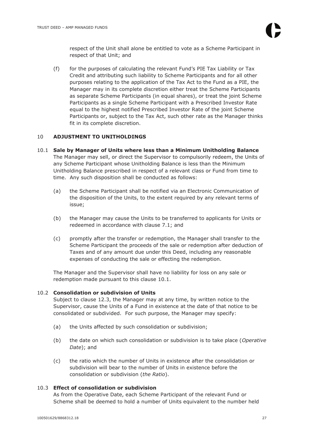respect of the Unit shall alone be entitled to vote as a Scheme Participant in respect of that Unit; and

(f) for the purposes of calculating the relevant Fund's PIE Tax Liability or Tax Credit and attributing such liability to Scheme Participants and for all other purposes relating to the application of the Tax Act to the Fund as a PIE, the Manager may in its complete discretion either treat the Scheme Participants as separate Scheme Participants (in equal shares), or treat the joint Scheme Participants as a single Scheme Participant with a Prescribed Investor Rate equal to the highest notified Prescribed Investor Rate of the joint Scheme Participants or, subject to the Tax Act, such other rate as the Manager thinks fit in its complete discretion.

# 10 **ADJUSTMENT TO UNITHOLDINGS**

- 10.1 **Sale by Manager of Units where less than a Minimum Unitholding Balance**  The Manager may sell, or direct the Supervisor to compulsorily redeem, the Units of any Scheme Participant whose Unitholding Balance is less than the Minimum Unitholding Balance prescribed in respect of a relevant class or Fund from time to time. Any such disposition shall be conducted as follows:
	- (a) the Scheme Participant shall be notified via an Electronic Communication of the disposition of the Units, to the extent required by any relevant terms of issue;
	- (b) the Manager may cause the Units to be transferred to applicants for Units or redeemed in accordance with clause 7.1; and
	- (c) promptly after the transfer or redemption, the Manager shall transfer to the Scheme Participant the proceeds of the sale or redemption after deduction of Taxes and of any amount due under this Deed, including any reasonable expenses of conducting the sale or effecting the redemption.

The Manager and the Supervisor shall have no liability for loss on any sale or redemption made pursuant to this clause 10.1.

# 10.2 **Consolidation or subdivision of Units**

Subject to clause 12.3, the Manager may at any time, by written notice to the Supervisor, cause the Units of a Fund in existence at the date of that notice to be consolidated or subdivided. For such purpose, the Manager may specify:

- (a) the Units affected by such consolidation or subdivision;
- (b) the date on which such consolidation or subdivision is to take place (*Operative Date*); and
- (c) the ratio which the number of Units in existence after the consolidation or subdivision will bear to the number of Units in existence before the consolidation or subdivision (*the Ratio*).

# 10.3 **Effect of consolidation or subdivision**

As from the Operative Date, each Scheme Participant of the relevant Fund or Scheme shall be deemed to hold a number of Units equivalent to the number held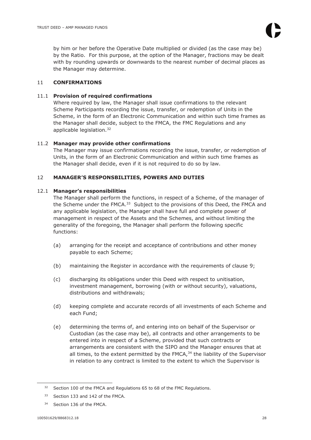by him or her before the Operative Date multiplied or divided (as the case may be) by the Ratio. For this purpose, at the option of the Manager, fractions may be dealt with by rounding upwards or downwards to the nearest number of decimal places as the Manager may determine.

# 11 **CONFIRMATIONS**

# 11.1 **Provision of required confirmations**

Where required by law, the Manager shall issue confirmations to the relevant Scheme Participants recording the issue, transfer, or redemption of Units in the Scheme, in the form of an Electronic Communication and within such time frames as the Manager shall decide, subject to the FMCA, the FMC Regulations and any applicable legislation.<sup>32</sup>

# 11.2 **Manager may provide other confirmations**

The Manager may issue confirmations recording the issue, transfer, or redemption of Units, in the form of an Electronic Communication and within such time frames as the Manager shall decide, even if it is not required to do so by law.

# 12 **MANAGER'S RESPONSBILITIES, POWERS AND DUTIES**

# 12.1 **Manager's responsibilities**

The Manager shall perform the functions, in respect of a Scheme, of the manager of the Scheme under the FMCA.<sup>33</sup> Subject to the provisions of this Deed, the FMCA and any applicable legislation, the Manager shall have full and complete power of management in respect of the Assets and the Schemes, and without limiting the generality of the foregoing, the Manager shall perform the following specific functions:

- (a) arranging for the receipt and acceptance of contributions and other money payable to each Scheme;
- (b) maintaining the Register in accordance with the requirements of clause 9;
- (c) discharging its obligations under this Deed with respect to unitisation, investment management, borrowing (with or without security), valuations, distributions and withdrawals;
- (d) keeping complete and accurate records of all investments of each Scheme and each Fund;
- (e) determining the terms of, and entering into on behalf of the Supervisor or Custodian (as the case may be), all contracts and other arrangements to be entered into in respect of a Scheme, provided that such contracts or arrangements are consistent with the SIPO and the Manager ensures that at all times, to the extent permitted by the FMCA, $34$  the liability of the Supervisor in relation to any contract is limited to the extent to which the Supervisor is

<sup>&</sup>lt;sup>32</sup> Section 100 of the FMCA and Regulations 65 to 68 of the FMC Regulations.

<sup>33</sup> Section 133 and 142 of the FMCA.

<sup>&</sup>lt;sup>34</sup> Section 136 of the FMCA.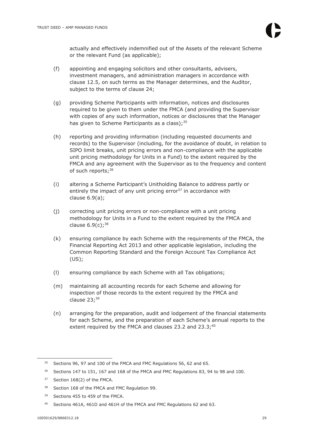actually and effectively indemnified out of the Assets of the relevant Scheme or the relevant Fund (as applicable);

- (f) appointing and engaging solicitors and other consultants, advisers, investment managers, and administration managers in accordance with clause 12.5, on such terms as the Manager determines, and the Auditor, subject to the terms of clause 24;
- (g) providing Scheme Participants with information, notices and disclosures required to be given to them under the FMCA (and providing the Supervisor with copies of any such information, notices or disclosures that the Manager has given to Scheme Participants as a class);  $35$
- (h) reporting and providing information (including requested documents and records) to the Supervisor (including, for the avoidance of doubt, in relation to SIPO limit breaks, unit pricing errors and non-compliance with the applicable unit pricing methodology for Units in a Fund) to the extent required by the FMCA and any agreement with the Supervisor as to the frequency and content of such reports;<sup>36</sup>
- (i) altering a Scheme Participant's Unitholding Balance to address partly or entirely the impact of any unit pricing error $37$  in accordance with clause 6.9(a);
- (j) correcting unit pricing errors or non-compliance with a unit pricing methodology for Units in a Fund to the extent required by the FMCA and clause  $6.9(c)$ ; 38
- (k) ensuring compliance by each Scheme with the requirements of the FMCA, the Financial Reporting Act 2013 and other applicable legislation, including the Common Reporting Standard and the Foreign Account Tax Compliance Act (US);
- (l) ensuring compliance by each Scheme with all Tax obligations;
- (m) maintaining all accounting records for each Scheme and allowing for inspection of those records to the extent required by the FMCA and clause  $23;^{39}$
- (n) arranging for the preparation, audit and lodgement of the financial statements for each Scheme, and the preparation of each Scheme's annual reports to the extent required by the FMCA and clauses 23.2 and  $23.3<sup>40</sup>$

<sup>39</sup> Sections 455 to 459 of the FMCA.

<sup>&</sup>lt;sup>35</sup> Sections 96, 97 and 100 of the FMCA and FMC Regulations 56, 62 and 65.

<sup>36</sup> Sections 147 to 151, 167 and 168 of the FMCA and FMC Regulations 83, 94 to 98 and 100.

<sup>37</sup> Section 168(2) of the FMCA.

<sup>38</sup> Section 168 of the FMCA and FMC Regulation 99.

<sup>40</sup> Sections 461A, 461D and 461H of the FMCA and FMC Regulations 62 and 63.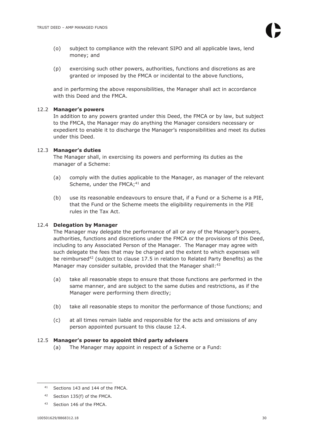- (o) subject to compliance with the relevant SIPO and all applicable laws, lend money; and
- (p) exercising such other powers, authorities, functions and discretions as are granted or imposed by the FMCA or incidental to the above functions,

and in performing the above responsibilities, the Manager shall act in accordance with this Deed and the FMCA.

# 12.2 **Manager's powers**

In addition to any powers granted under this Deed, the FMCA or by law, but subject to the FMCA, the Manager may do anything the Manager considers necessary or expedient to enable it to discharge the Manager's responsibilities and meet its duties under this Deed.

# 12.3 **Manager's duties**

The Manager shall, in exercising its powers and performing its duties as the manager of a Scheme:

- (a) comply with the duties applicable to the Manager, as manager of the relevant Scheme, under the FMCA;<sup>41</sup> and
- (b) use its reasonable endeavours to ensure that, if a Fund or a Scheme is a PIE, that the Fund or the Scheme meets the eligibility requirements in the PIE rules in the Tax Act.

# 12.4 **Delegation by Manager**

The Manager may delegate the performance of all or any of the Manager's powers, authorities, functions and discretions under the FMCA or the provisions of this Deed, including to any Associated Person of the Manager. The Manager may agree with such delegate the fees that may be charged and the extent to which expenses will be reimbursed<sup>42</sup> (subject to clause  $17.5$  in relation to Related Party Benefits) as the Manager may consider suitable, provided that the Manager shall: 43

- (a) take all reasonable steps to ensure that those functions are performed in the same manner, and are subject to the same duties and restrictions, as if the Manager were performing them directly;
- (b) take all reasonable steps to monitor the performance of those functions; and
- (c) at all times remain liable and responsible for the acts and omissions of any person appointed pursuant to this clause 12.4.

# 12.5 **Manager's power to appoint third party advisers**

(a) The Manager may appoint in respect of a Scheme or a Fund:

43 Section 146 of the FMCA.

<sup>41</sup> Sections 143 and 144 of the FMCA.

<sup>42</sup> Section 135(f) of the FMCA.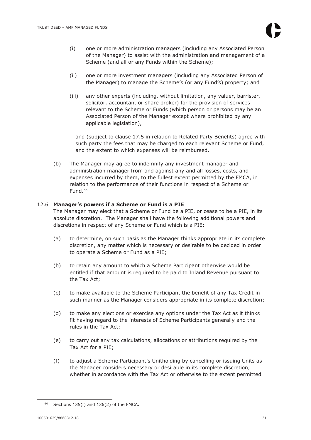- (i) one or more administration managers (including any Associated Person of the Manager) to assist with the administration and management of a Scheme (and all or any Funds within the Scheme);
- (ii) one or more investment managers (including any Associated Person of the Manager) to manage the Scheme's (or any Fund's) property; and
- (iii) any other experts (including, without limitation, any valuer, barrister, solicitor, accountant or share broker) for the provision of services relevant to the Scheme or Funds (which person or persons may be an Associated Person of the Manager except where prohibited by any applicable legislation),

and (subject to clause 17.5 in relation to Related Party Benefits) agree with such party the fees that may be charged to each relevant Scheme or Fund, and the extent to which expenses will be reimbursed.

(b) The Manager may agree to indemnify any investment manager and administration manager from and against any and all losses, costs, and expenses incurred by them, to the fullest extent permitted by the FMCA, in relation to the performance of their functions in respect of a Scheme or Fund.<sup>44</sup>

# 12.6 **Manager's powers if a Scheme or Fund is a PIE**

The Manager may elect that a Scheme or Fund be a PIE, or cease to be a PIE, in its absolute discretion. The Manager shall have the following additional powers and discretions in respect of any Scheme or Fund which is a PIE:

- (a) to determine, on such basis as the Manager thinks appropriate in its complete discretion, any matter which is necessary or desirable to be decided in order to operate a Scheme or Fund as a PIE;
- (b) to retain any amount to which a Scheme Participant otherwise would be entitled if that amount is required to be paid to Inland Revenue pursuant to the Tax Act;
- (c) to make available to the Scheme Participant the benefit of any Tax Credit in such manner as the Manager considers appropriate in its complete discretion;
- (d) to make any elections or exercise any options under the Tax Act as it thinks fit having regard to the interests of Scheme Participants generally and the rules in the Tax Act;
- (e) to carry out any tax calculations, allocations or attributions required by the Tax Act for a PIE;
- (f) to adjust a Scheme Participant's Unitholding by cancelling or issuing Units as the Manager considers necessary or desirable in its complete discretion, whether in accordance with the Tax Act or otherwise to the extent permitted

<sup>44</sup> Sections 135(f) and 136(2) of the FMCA.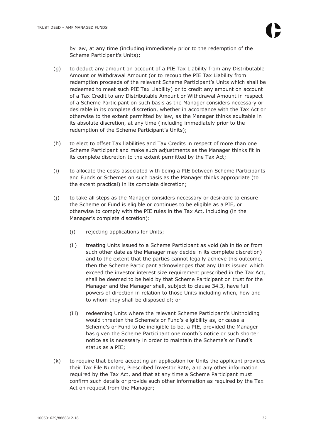by law, at any time (including immediately prior to the redemption of the Scheme Participant's Units);

- (g) to deduct any amount on account of a PIE Tax Liability from any Distributable Amount or Withdrawal Amount (or to recoup the PIE Tax Liability from redemption proceeds of the relevant Scheme Participant's Units which shall be redeemed to meet such PIE Tax Liability) or to credit any amount on account of a Tax Credit to any Distributable Amount or Withdrawal Amount in respect of a Scheme Participant on such basis as the Manager considers necessary or desirable in its complete discretion, whether in accordance with the Tax Act or otherwise to the extent permitted by law, as the Manager thinks equitable in its absolute discretion, at any time (including immediately prior to the redemption of the Scheme Participant's Units);
- (h) to elect to offset Tax liabilities and Tax Credits in respect of more than one Scheme Participant and make such adjustments as the Manager thinks fit in its complete discretion to the extent permitted by the Tax Act;
- (i) to allocate the costs associated with being a PIE between Scheme Participants and Funds or Schemes on such basis as the Manager thinks appropriate (to the extent practical) in its complete discretion;
- (j) to take all steps as the Manager considers necessary or desirable to ensure the Scheme or Fund is eligible or continues to be eligible as a PIE, or otherwise to comply with the PIE rules in the Tax Act, including (in the Manager's complete discretion):
	- (i) rejecting applications for Units;
	- (ii) treating Units issued to a Scheme Participant as void (ab initio or from such other date as the Manager may decide in its complete discretion) and to the extent that the parties cannot legally achieve this outcome, then the Scheme Participant acknowledges that any Units issued which exceed the investor interest size requirement prescribed in the Tax Act, shall be deemed to be held by that Scheme Participant on trust for the Manager and the Manager shall, subject to clause 34.3, have full powers of direction in relation to those Units including when, how and to whom they shall be disposed of; or
	- (iii) redeeming Units where the relevant Scheme Participant's Unitholding would threaten the Scheme's or Fund's eligibility as, or cause a Scheme's or Fund to be ineligible to be, a PIE, provided the Manager has given the Scheme Participant one month's notice or such shorter notice as is necessary in order to maintain the Scheme's or Fund's status as a PIE;
- (k) to require that before accepting an application for Units the applicant provides their Tax File Number, Prescribed Investor Rate, and any other information required by the Tax Act, and that at any time a Scheme Participant must confirm such details or provide such other information as required by the Tax Act on request from the Manager;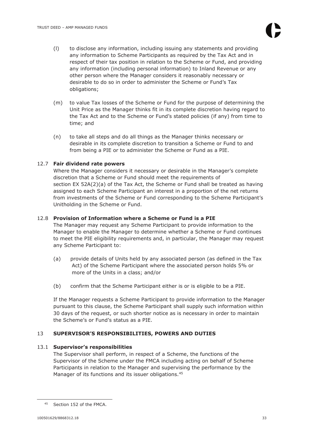- (l) to disclose any information, including issuing any statements and providing any information to Scheme Participants as required by the Tax Act and in respect of their tax position in relation to the Scheme or Fund, and providing any information (including personal information) to Inland Revenue or any other person where the Manager considers it reasonably necessary or desirable to do so in order to administer the Scheme or Fund's Tax obligations;
- (m) to value Tax losses of the Scheme or Fund for the purpose of determining the Unit Price as the Manager thinks fit in its complete discretion having regard to the Tax Act and to the Scheme or Fund's stated policies (if any) from time to time; and
- (n) to take all steps and do all things as the Manager thinks necessary or desirable in its complete discretion to transition a Scheme or Fund to and from being a PIE or to administer the Scheme or Fund as a PIE.

# 12.7 **Fair dividend rate powers**

Where the Manager considers it necessary or desirable in the Manager's complete discretion that a Scheme or Fund should meet the requirements of section EX 52A(2)(a) of the Tax Act, the Scheme or Fund shall be treated as having assigned to each Scheme Participant an interest in a proportion of the net returns from investments of the Scheme or Fund corresponding to the Scheme Participant's Unitholding in the Scheme or Fund.

# 12.8 **Provision of Information where a Scheme or Fund is a PIE**

The Manager may request any Scheme Participant to provide information to the Manager to enable the Manager to determine whether a Scheme or Fund continues to meet the PIE eligibility requirements and, in particular, the Manager may request any Scheme Participant to:

- (a) provide details of Units held by any associated person (as defined in the Tax Act) of the Scheme Participant where the associated person holds 5% or more of the Units in a class; and/or
- (b) confirm that the Scheme Participant either is or is eligible to be a PIE.

If the Manager requests a Scheme Participant to provide information to the Manager pursuant to this clause, the Scheme Participant shall supply such information within 30 days of the request, or such shorter notice as is necessary in order to maintain the Scheme's or Fund's status as a PIE.

# 13 **SUPERVISOR'S RESPONSIBILITIES, POWERS AND DUTIES**

# 13.1 **Supervisor's responsibilities**

The Supervisor shall perform, in respect of a Scheme, the functions of the Supervisor of the Scheme under the FMCA including acting on behalf of Scheme Participants in relation to the Manager and supervising the performance by the Manager of its functions and its issuer obligations.<sup>45</sup>

<sup>45</sup> Section 152 of the FMCA.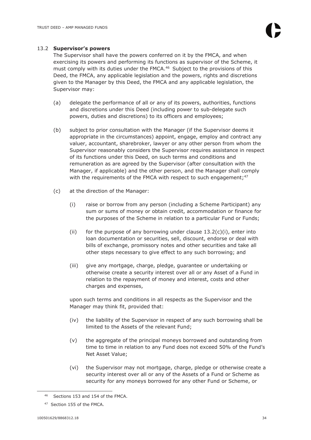#### 13.2 **Supervisor's powers**

The Supervisor shall have the powers conferred on it by the FMCA, and when exercising its powers and performing its functions as supervisor of the Scheme, it must comply with its duties under the FMCA. $46$  Subject to the provisions of this Deed, the FMCA, any applicable legislation and the powers, rights and discretions given to the Manager by this Deed, the FMCA and any applicable legislation, the Supervisor may:

- (a) delegate the performance of all or any of its powers, authorities, functions and discretions under this Deed (including power to sub-delegate such powers, duties and discretions) to its officers and employees;
- (b) subject to prior consultation with the Manager (if the Supervisor deems it appropriate in the circumstances) appoint, engage, employ and contract any valuer, accountant, sharebroker, lawyer or any other person from whom the Supervisor reasonably considers the Supervisor requires assistance in respect of its functions under this Deed, on such terms and conditions and remuneration as are agreed by the Supervisor (after consultation with the Manager, if applicable) and the other person, and the Manager shall comply with the requirements of the FMCA with respect to such engagement;<sup>47</sup>
- (c) at the direction of the Manager:
	- (i) raise or borrow from any person (including a Scheme Participant) any sum or sums of money or obtain credit, accommodation or finance for the purposes of the Scheme in relation to a particular Fund or Funds;
	- (ii) for the purpose of any borrowing under clause  $13.2(c)(i)$ , enter into loan documentation or securities, sell, discount, endorse or deal with bills of exchange, promissory notes and other securities and take all other steps necessary to give effect to any such borrowing; and
	- (iii) give any mortgage, charge, pledge, guarantee or undertaking or otherwise create a security interest over all or any Asset of a Fund in relation to the repayment of money and interest, costs and other charges and expenses,

upon such terms and conditions in all respects as the Supervisor and the Manager may think fit, provided that:

- (iv) the liability of the Supervisor in respect of any such borrowing shall be limited to the Assets of the relevant Fund;
- (v) the aggregate of the principal moneys borrowed and outstanding from time to time in relation to any Fund does not exceed 50% of the Fund's Net Asset Value;
- (vi) the Supervisor may not mortgage, charge, pledge or otherwise create a security interest over all or any of the Assets of a Fund or Scheme as security for any moneys borrowed for any other Fund or Scheme, or

Sections 153 and 154 of the FMCA.

<sup>47</sup> Section 155 of the FMCA.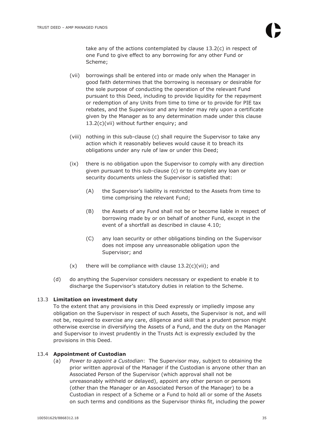take any of the actions contemplated by clause 13.2(c) in respect of one Fund to give effect to any borrowing for any other Fund or Scheme;

- (vii) borrowings shall be entered into or made only when the Manager in good faith determines that the borrowing is necessary or desirable for the sole purpose of conducting the operation of the relevant Fund pursuant to this Deed, including to provide liquidity for the repayment or redemption of any Units from time to time or to provide for PIE tax rebates, and the Supervisor and any lender may rely upon a certificate given by the Manager as to any determination made under this clause 13.2(c)(vii) without further enquiry; and
- (viii) nothing in this sub-clause (c) shall require the Supervisor to take any action which it reasonably believes would cause it to breach its obligations under any rule of law or under this Deed;
- (ix) there is no obligation upon the Supervisor to comply with any direction given pursuant to this sub-clause (c) or to complete any loan or security documents unless the Supervisor is satisfied that:
	- (A) the Supervisor's liability is restricted to the Assets from time to time comprising the relevant Fund;
	- (B) the Assets of any Fund shall not be or become liable in respect of borrowing made by or on behalf of another Fund, except in the event of a shortfall as described in clause 4.10;
	- (C) any loan security or other obligations binding on the Supervisor does not impose any unreasonable obligation upon the Supervisor; and
- $(x)$  there will be compliance with clause  $13.2(c)(vii)$ ; and
- (d) do anything the Supervisor considers necessary or expedient to enable it to discharge the Supervisor's statutory duties in relation to the Scheme.

# 13.3 **Limitation on investment duty**

To the extent that any provisions in this Deed expressly or impliedly impose any obligation on the Supervisor in respect of such Assets, the Supervisor is not, and will not be, required to exercise any care, diligence and skill that a prudent person might otherwise exercise in diversifying the Assets of a Fund, and the duty on the Manager and Supervisor to invest prudently in the Trusts Act is expressly excluded by the provisions in this Deed.

# 13.4 **Appointment of Custodian**

(a) *Power to appoint a Custodian*: The Supervisor may, subject to obtaining the prior written approval of the Manager if the Custodian is anyone other than an Associated Person of the Supervisor (which approval shall not be unreasonably withheld or delayed), appoint any other person or persons (other than the Manager or an Associated Person of the Manager) to be a Custodian in respect of a Scheme or a Fund to hold all or some of the Assets on such terms and conditions as the Supervisor thinks fit, including the power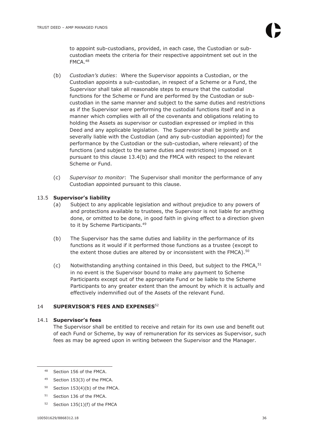to appoint sub-custodians, provided, in each case, the Custodian or subcustodian meets the criteria for their respective appointment set out in the FMCA.<sup>48</sup>

- (b) *Custodian's duties*: Where the Supervisor appoints a Custodian, or the Custodian appoints a sub-custodian, in respect of a Scheme or a Fund, the Supervisor shall take all reasonable steps to ensure that the custodial functions for the Scheme or Fund are performed by the Custodian or subcustodian in the same manner and subject to the same duties and restrictions as if the Supervisor were performing the custodial functions itself and in a manner which complies with all of the covenants and obligations relating to holding the Assets as supervisor or custodian expressed or implied in this Deed and any applicable legislation. The Supervisor shall be jointly and severally liable with the Custodian (and any sub-custodian appointed) for the performance by the Custodian or the sub-custodian, where relevant) of the functions (and subject to the same duties and restrictions) imposed on it pursuant to this clause 13.4(b) and the FMCA with respect to the relevant Scheme or Fund.
- (c) *Supervisor to monitor*: The Supervisor shall monitor the performance of any Custodian appointed pursuant to this clause.

# 13.5 **Supervisor's liability**

- (a) Subject to any applicable legislation and without prejudice to any powers of and protections available to trustees, the Supervisor is not liable for anything done, or omitted to be done, in good faith in giving effect to a direction given to it by Scheme Participants.<sup>49</sup>
- (b) The Supervisor has the same duties and liability in the performance of its functions as it would if it performed those functions as a trustee (except to the extent those duties are altered by or inconsistent with the FMCA).<sup>50</sup>
- (c) Notwithstanding anything contained in this Deed, but subject to the FMCA, $51$ in no event is the Supervisor bound to make any payment to Scheme Participants except out of the appropriate Fund or be liable to the Scheme Participants to any greater extent than the amount by which it is actually and effectively indemnified out of the Assets of the relevant Fund.

# 14 **SUPERVISOR'S FEES AND EXPENSES**<sup>52</sup>

# 14.1 **Supervisor's fees**

The Supervisor shall be entitled to receive and retain for its own use and benefit out of each Fund or Scheme, by way of remuneration for its services as Supervisor, such fees as may be agreed upon in writing between the Supervisor and the Manager.

- $50$  Section 153(4)(b) of the FMCA.
- <sup>51</sup> Section 136 of the FMCA.
- 52 Section 135(1)(f) of the FMCA

<sup>48</sup> Section 156 of the FMCA.

<sup>49</sup> Section 153(3) of the FMCA.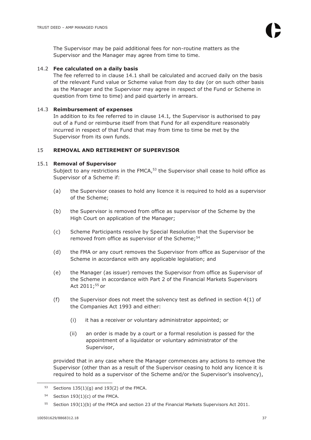The Supervisor may be paid additional fees for non-routine matters as the Supervisor and the Manager may agree from time to time.

# 14.2 **Fee calculated on a daily basis**

The fee referred to in clause 14.1 shall be calculated and accrued daily on the basis of the relevant Fund value or Scheme value from day to day (or on such other basis as the Manager and the Supervisor may agree in respect of the Fund or Scheme in question from time to time) and paid quarterly in arrears.

# 14.3 **Reimbursement of expenses**

In addition to its fee referred to in clause 14.1*,* the Supervisor is authorised to pay out of a Fund or reimburse itself from that Fund for all expenditure reasonably incurred in respect of that Fund that may from time to time be met by the Supervisor from its own funds.

# 15 **REMOVAL AND RETIREMENT OF SUPERVISOR**

# 15.1 **Removal of Supervisor**

Subject to any restrictions in the FMCA, $53$  the Supervisor shall cease to hold office as Supervisor of a Scheme if:

- (a) the Supervisor ceases to hold any licence it is required to hold as a supervisor of the Scheme;
- (b) the Supervisor is removed from office as supervisor of the Scheme by the High Court on application of the Manager;
- (c) Scheme Participants resolve by Special Resolution that the Supervisor be removed from office as supervisor of the Scheme;  $54$
- (d) the FMA or any court removes the Supervisor from office as Supervisor of the Scheme in accordance with any applicable legislation; and
- (e) the Manager (as issuer) removes the Supervisor from office as Supervisor of the Scheme in accordance with Part 2 of the Financial Markets Supervisors Act 2011:<sup>55</sup> or
- (f) the Supervisor does not meet the solvency test as defined in section  $4(1)$  of the Companies Act 1993 and either:
	- (i) it has a receiver or voluntary administrator appointed; or
	- (ii) an order is made by a court or a formal resolution is passed for the appointment of a liquidator or voluntary administrator of the Supervisor,

provided that in any case where the Manager commences any actions to remove the Supervisor (other than as a result of the Supervisor ceasing to hold any licence it is required to hold as a supervisor of the Scheme and/or the Supervisor's insolvency),

<sup>53</sup> Sections  $135(1)(g)$  and  $193(2)$  of the FMCA.

<sup>54</sup> Section  $193(1)(c)$  of the FMCA.

 $55$  Section 193(1)(b) of the FMCA and section 23 of the Financial Markets Supervisors Act 2011.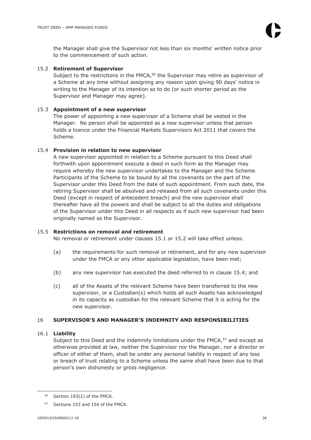the Manager shall give the Supervisor not less than six months' written notice prior to the commencement of such action.

# 15.2 **Retirement of Supervisor**

Subject to the restrictions in the FMCA,<sup>56</sup> the Supervisor may retire as supervisor of a Scheme at any time without assigning any reason upon giving 90 days' notice in writing to the Manager of its intention so to do (or such shorter period as the Supervisor and Manager may agree).

# 15.3 **Appointment of a new supervisor**

The power of appointing a new supervisor of a Scheme shall be vested in the Manager. No person shall be appointed as a new supervisor unless that person holds a licence under the Financial Markets Supervisors Act 2011 that covers the Scheme.

# 15.4 **Provision in relation to new supervisor**

A new supervisor appointed in relation to a Scheme pursuant to this Deed shall forthwith upon appointment execute a deed in such form as the Manager may require whereby the new supervisor undertakes to the Manager and the Scheme Participants of the Scheme to be bound by all the covenants on the part of the Supervisor under this Deed from the date of such appointment. From such date, the retiring Supervisor shall be absolved and released from all such covenants under this Deed (except in respect of antecedent breach) and the new supervisor shall thereafter have all the powers and shall be subject to all the duties and obligations of the Supervisor under this Deed in all respects as if such new supervisor had been originally named as the Supervisor.

# 15.5 **Restrictions on removal and retirement**

No removal or retirement under clauses 15.1 or 15.2 will take effect unless:

- (a) the requirements for such removal or retirement, and for any new supervisor under the FMCA or any other applicable legislation, have been met;
- (b) any new supervisor has executed the deed referred to in clause 15.4; and
- (c) all of the Assets of the relevant Scheme have been transferred to the new supervisor, or a Custodian(s) which holds all such Assets has acknowledged in its capacity as custodian for the relevant Scheme that it is acting for the new supervisor.

# 16 **SUPERVISOR'S AND MANAGER'S INDEMNITY AND RESPONSIBILITIES**

# 16.1 **Liability**

Subject to this Deed and the indemnity limitations under the FMCA, $57$  and except as otherwise provided at law, neither the Supervisor nor the Manager, nor a director or officer of either of them, shall be under any personal liability in respect of any loss or breach of trust relating to a Scheme unless the same shall have been due to that person's own dishonesty or gross negligence.

Section 193(2) of the FMCA.

<sup>57</sup> Sections 153 and 154 of the FMCA.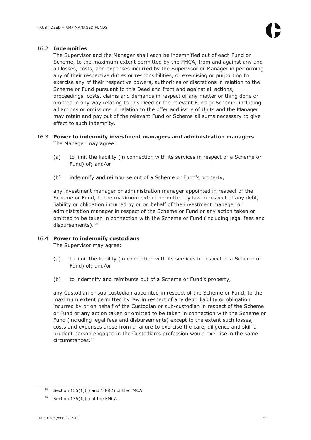# 16.2 **Indemnities**

The Supervisor and the Manager shall each be indemnified out of each Fund or Scheme, to the maximum extent permitted by the FMCA, from and against any and all losses, costs, and expenses incurred by the Supervisor or Manager in performing any of their respective duties or responsibilities, or exercising or purporting to exercise any of their respective powers, authorities or discretions in relation to the Scheme or Fund pursuant to this Deed and from and against all actions, proceedings, costs, claims and demands in respect of any matter or thing done or omitted in any way relating to this Deed or the relevant Fund or Scheme, including all actions or omissions in relation to the offer and issue of Units and the Manager may retain and pay out of the relevant Fund or Scheme all sums necessary to give effect to such indemnity.

# 16.3 **Power to indemnify investment managers and administration managers**  The Manager may agree:

- (a) to limit the liability (in connection with its services in respect of a Scheme or Fund) of; and/or
- (b) indemnify and reimburse out of a Scheme or Fund's property,

any investment manager or administration manager appointed in respect of the Scheme or Fund, to the maximum extent permitted by law in respect of any debt, liability or obligation incurred by or on behalf of the investment manager or administration manager in respect of the Scheme or Fund or any action taken or omitted to be taken in connection with the Scheme or Fund (including legal fees and disbursements).<sup>58</sup>

# 16.4 **Power to indemnify custodians**

The Supervisor may agree:

- (a) to limit the liability (in connection with its services in respect of a Scheme or Fund) of; and/or
- (b) to indemnify and reimburse out of a Scheme or Fund's property,

any Custodian or sub-custodian appointed in respect of the Scheme or Fund, to the maximum extent permitted by law in respect of any debt, liability or obligation incurred by or on behalf of the Custodian or sub-custodian in respect of the Scheme or Fund or any action taken or omitted to be taken in connection with the Scheme or Fund (including legal fees and disbursements) except to the extent such losses, costs and expenses arose from a failure to exercise the care, diligence and skill a prudent person engaged in the Custodian's profession would exercise in the same circumstances.<sup>59</sup>

 $58$  Section 135(1)(f) and 136(2) of the FMCA.

 $59$  Section 135(1)(f) of the FMCA.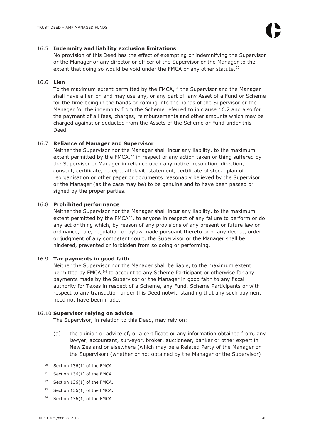#### 16.5 **Indemnity and liability exclusion limitations**

No provision of this Deed has the effect of exempting or indemnifying the Supervisor or the Manager or any director or officer of the Supervisor or the Manager to the extent that doing so would be void under the FMCA or any other statute. $60$ 

# 16.6 **Lien**

To the maximum extent permitted by the  $FMCA$ ,  $61$  the Supervisor and the Manager shall have a lien on and may use any, or any part of, any Asset of a Fund or Scheme for the time being in the hands or coming into the hands of the Supervisor or the Manager for the indemnity from the Scheme referred to in clause 16.2 and also for the payment of all fees, charges, reimbursements and other amounts which may be charged against or deducted from the Assets of the Scheme or Fund under this Deed.

# 16.7 **Reliance of Manager and Supervisor**

Neither the Supervisor nor the Manager shall incur any liability, to the maximum extent permitted by the FMCA, $62$  in respect of any action taken or thing suffered by the Supervisor or Manager in reliance upon any notice, resolution, direction, consent, certificate, receipt, affidavit, statement, certificate of stock, plan of reorganisation or other paper or documents reasonably believed by the Supervisor or the Manager (as the case may be) to be genuine and to have been passed or signed by the proper parties.

# 16.8 **Prohibited performance**

Neither the Supervisor nor the Manager shall incur any liability, to the maximum extent permitted by the  $FMCA^{63}$ , to anyone in respect of any failure to perform or do any act or thing which, by reason of any provisions of any present or future law or ordinance, rule, regulation or bylaw made pursuant thereto or of any decree, order or judgment of any competent court, the Supervisor or the Manager shall be hindered, prevented or forbidden from so doing or performing.

# 16.9 **Tax payments in good faith**

Neither the Supervisor nor the Manager shall be liable, to the maximum extent permitted by FMCA,<sup>64</sup> to account to any Scheme Participant or otherwise for any payments made by the Supervisor or the Manager in good faith to any fiscal authority for Taxes in respect of a Scheme, any Fund, Scheme Participants or with respect to any transaction under this Deed notwithstanding that any such payment need not have been made.

# 16.10 **Supervisor relying on advice**

The Supervisor, in relation to this Deed, may rely on:

(a) the opinion or advice of, or a certificate or any information obtained from, any lawyer, accountant, surveyor, broker, auctioneer, banker or other expert in New Zealand or elsewhere (which may be a Related Party of the Manager or the Supervisor) (whether or not obtained by the Manager or the Supervisor)

- $63$  Section 136(1) of the FMCA.
- $64$  Section 136(1) of the FMCA.

 $60$  Section 136(1) of the FMCA.

 $61$  Section 136(1) of the FMCA.

 $62$  Section 136(1) of the FMCA.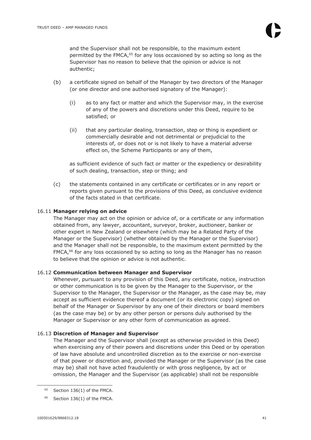and the Supervisor shall not be responsible, to the maximum extent permitted by the FMCA,<sup>65</sup> for any loss occasioned by so acting so long as the Supervisor has no reason to believe that the opinion or advice is not authentic;

- (b) a certificate signed on behalf of the Manager by two directors of the Manager (or one director and one authorised signatory of the Manager):
	- (i) as to any fact or matter and which the Supervisor may, in the exercise of any of the powers and discretions under this Deed, require to be satisfied; or
	- (ii) that any particular dealing, transaction, step or thing is expedient or commercially desirable and not detrimental or prejudicial to the interests of, or does not or is not likely to have a material adverse effect on, the Scheme Participants or any of them,

as sufficient evidence of such fact or matter or the expediency or desirability of such dealing, transaction, step or thing; and

(c) the statements contained in any certificate or certificates or in any report or reports given pursuant to the provisions of this Deed, as conclusive evidence of the facts stated in that certificate.

#### 16.11 **Manager relying on advice**

The Manager may act on the opinion or advice of, or a certificate or any information obtained from, any lawyer, accountant, surveyor, broker, auctioneer, banker or other expert in New Zealand or elsewhere (which may be a Related Party of the Manager or the Supervisor) (whether obtained by the Manager or the Supervisor) and the Manager shall not be responsible, to the maximum extent permitted by the FMCA,<sup>66</sup> for any loss occasioned by so acting so long as the Manager has no reason to believe that the opinion or advice is not authentic.

# 16.12 **Communication between Manager and Supervisor**

Whenever, pursuant to any provision of this Deed, any certificate, notice, instruction or other communication is to be given by the Manager to the Supervisor, or the Supervisor to the Manager, the Supervisor or the Manager, as the case may be, may accept as sufficient evidence thereof a document (or its electronic copy) signed on behalf of the Manager or Supervisor by any one of their directors or board members (as the case may be) or by any other person or persons duly authorised by the Manager or Supervisor or any other form of communication as agreed.

#### 16.13 **Discretion of Manager and Supervisor**

The Manager and the Supervisor shall (except as otherwise provided in this Deed) when exercising any of their powers and discretions under this Deed or by operation of law have absolute and uncontrolled discretion as to the exercise or non-exercise of that power or discretion and, provided the Manager or the Supervisor (as the case may be) shall not have acted fraudulently or with gross negligence, by act or omission, the Manager and the Supervisor (as applicable) shall not be responsible

 $65$  Section 136(1) of the FMCA.

 $66$  Section 136(1) of the FMCA.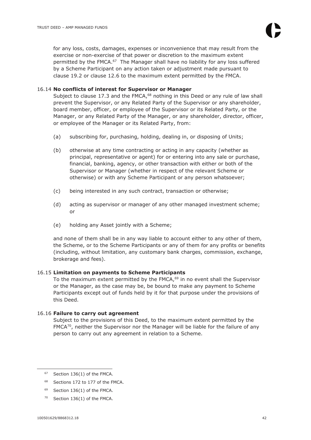for any loss, costs, damages, expenses or inconvenience that may result from the exercise or non-exercise of that power or discretion to the maximum extent permitted by the FMCA.<sup>67</sup> The Manager shall have no liability for any loss suffered by a Scheme Participant on any action taken or adjustment made pursuant to clause 19.2 or clause 12.6 to the maximum extent permitted by the FMCA.

# 16.14 **No conflicts of interest for Supervisor or Manager**

Subject to clause 17.3 and the FMCA, $68$  nothing in this Deed or any rule of law shall prevent the Supervisor, or any Related Party of the Supervisor or any shareholder, board member, officer, or employee of the Supervisor or its Related Party, or the Manager, or any Related Party of the Manager, or any shareholder, director, officer, or employee of the Manager or its Related Party, from:

- (a) subscribing for, purchasing, holding, dealing in, or disposing of Units;
- (b) otherwise at any time contracting or acting in any capacity (whether as principal, representative or agent) for or entering into any sale or purchase, financial, banking, agency, or other transaction with either or both of the Supervisor or Manager (whether in respect of the relevant Scheme or otherwise) or with any Scheme Participant or any person whatsoever;
- (c) being interested in any such contract, transaction or otherwise;
- (d) acting as supervisor or manager of any other managed investment scheme; or
- (e) holding any Asset jointly with a Scheme;

and none of them shall be in any way liable to account either to any other of them, the Scheme, or to the Scheme Participants or any of them for any profits or benefits (including, without limitation, any customary bank charges, commission, exchange, brokerage and fees).

# 16.15 **Limitation on payments to Scheme Participants**

To the maximum extent permitted by the  $FMCA$ ,  $69$  in no event shall the Supervisor or the Manager, as the case may be, be bound to make any payment to Scheme Participants except out of funds held by it for that purpose under the provisions of this Deed.

# 16.16 **Failure to carry out agreement**

Subject to the provisions of this Deed, to the maximum extent permitted by the  $FMCA^{70}$ , neither the Supervisor nor the Manager will be liable for the failure of any person to carry out any agreement in relation to a Scheme.

- <sup>68</sup> Sections 172 to 177 of the FMCA.
- <sup>69</sup> Section 136(1) of the FMCA.
- $70$  Section 136(1) of the FMCA.

 $67$  Section 136(1) of the FMCA.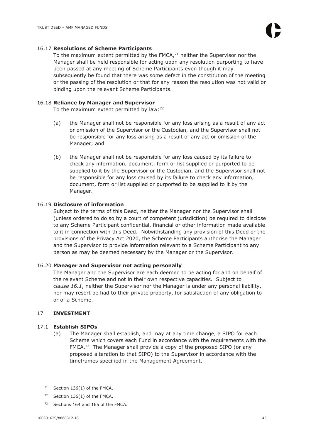#### 16.17 **Resolutions of Scheme Participants**

To the maximum extent permitted by the FMCA, $71$  neither the Supervisor nor the Manager shall be held responsible for acting upon any resolution purporting to have been passed at any meeting of Scheme Participants even though it may subsequently be found that there was some defect in the constitution of the meeting or the passing of the resolution or that for any reason the resolution was not valid or binding upon the relevant Scheme Participants.

#### 16.18 **Reliance by Manager and Supervisor**

To the maximum extent permitted by law:<sup>72</sup>

- (a) the Manager shall not be responsible for any loss arising as a result of any act or omission of the Supervisor or the Custodian, and the Supervisor shall not be responsible for any loss arising as a result of any act or omission of the Manager; and
- (b) the Manager shall not be responsible for any loss caused by its failure to check any information, document, form or list supplied or purported to be supplied to it by the Supervisor or the Custodian, and the Supervisor shall not be responsible for any loss caused by its failure to check any information, document, form or list supplied or purported to be supplied to it by the Manager.

# 16.19 **Disclosure of information**

Subject to the terms of this Deed, neither the Manager nor the Supervisor shall (unless ordered to do so by a court of competent jurisdiction) be required to disclose to any Scheme Participant confidential, financial or other information made available to it in connection with this Deed. Notwithstanding any provision of this Deed or the provisions of the Privacy Act 2020, the Scheme Participants authorise the Manager and the Supervisor to provide information relevant to a Scheme Participant to any person as may be deemed necessary by the Manager or the Supervisor.

#### 16.20 **Manager and Supervisor not acting personally**

The Manager and the Supervisor are each deemed to be acting for and on behalf of the relevant Scheme and not in their own respective capacities. Subject to *clause 16.1*, neither the Supervisor nor the Manager is under any personal liability, nor may resort be had to their private property, for satisfaction of any obligation to or of a Scheme.

# 17 **INVESTMENT**

# 17.1 **Establish SIPOs**

(a) The Manager shall establish, and may at any time change, a SIPO for each Scheme which covers each Fund in accordance with the requirements with the FMCA.<sup>73</sup> The Manager shall provide a copy of the proposed SIPO (or any proposed alteration to that SIPO) to the Supervisor in accordance with the timeframes specified in the Management Agreement.

 $71$  Section 136(1) of the FMCA.

 $72$  Section 136(1) of the FMCA.

<sup>&</sup>lt;sup>73</sup> Sections 164 and 165 of the FMCA.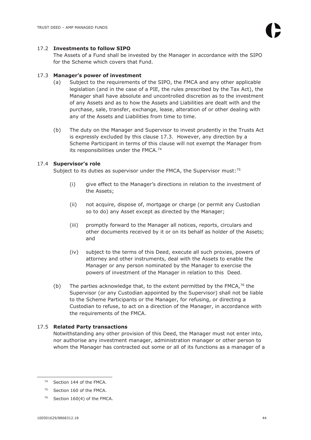#### 17.2 **Investments to follow SIPO**

The Assets of a Fund shall be invested by the Manager in accordance with the SIPO for the Scheme which covers that Fund.

#### 17.3 **Manager's power of investment**

- (a) Subject to the requirements of the SIPO, the FMCA and any other applicable legislation (and in the case of a PIE, the rules prescribed by the Tax Act), the Manager shall have absolute and uncontrolled discretion as to the investment of any Assets and as to how the Assets and Liabilities are dealt with and the purchase, sale, transfer, exchange, lease, alteration of or other dealing with any of the Assets and Liabilities from time to time.
- (b) The duty on the Manager and Supervisor to invest prudently in the Trusts Act is expressly excluded by this clause 17.3. However, any direction by a Scheme Participant in terms of this clause will not exempt the Manager from its responsibilities under the FMCA.<sup>74</sup>

#### 17.4 **Supervisor's role**

Subject to its duties as supervisor under the FMCA, the Supervisor must:<sup>75</sup>

- (i) give effect to the Manager's directions in relation to the investment of the Assets;
- (ii) not acquire, dispose of, mortgage or charge (or permit any Custodian so to do) any Asset except as directed by the Manager;
- (iii) promptly forward to the Manager all notices, reports, circulars and other documents received by it or on its behalf as holder of the Assets; and
- (iv) subject to the terms of this Deed, execute all such proxies, powers of attorney and other instruments, deal with the Assets to enable the Manager or any person nominated by the Manager to exercise the powers of investment of the Manager in relation to this Deed.
- (b) The parties acknowledge that, to the extent permitted by the FMCA,  $76$  the Supervisor (or any Custodian appointed by the Supervisor) shall not be liable to the Scheme Participants or the Manager, for refusing, or directing a Custodian to refuse, to act on a direction of the Manager, in accordance with the requirements of the FMCA.

# 17.5 **Related Party transactions**

Notwithstanding any other provision of this Deed, the Manager must not enter into, nor authorise any investment manager, administration manager or other person to whom the Manager has contracted out some or all of its functions as a manager of a

<sup>74</sup> Section 144 of the FMCA.

<sup>75</sup> Section 160 of the FMCA.

<sup>76</sup> Section 160(4) of the FMCA.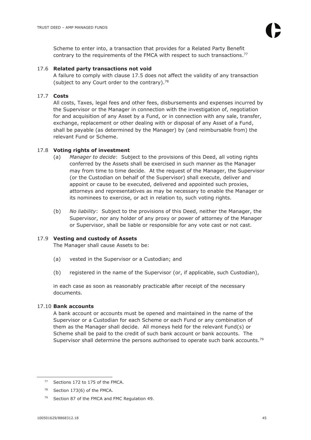Scheme to enter into, a transaction that provides for a Related Party Benefit contrary to the requirements of the FMCA with respect to such transactions.<sup>77</sup>

# 17.6 **Related party transactions not void**

A failure to comply with clause 17.5 does not affect the validity of any transaction (subject to any Court order to the contrary). $78$ 

# 17.7 **Costs**

All costs, Taxes, legal fees and other fees, disbursements and expenses incurred by the Supervisor or the Manager in connection with the investigation of, negotiation for and acquisition of any Asset by a Fund, or in connection with any sale, transfer, exchange, replacement or other dealing with or disposal of any Asset of a Fund, shall be payable (as determined by the Manager) by (and reimbursable from) the relevant Fund or Scheme.

#### 17.8 **Voting rights of investment**

- (a) *Manager to decide*:Subject to the provisions of this Deed, all voting rights conferred by the Assets shall be exercised in such manner as the Manager may from time to time decide. At the request of the Manager, the Supervisor (or the Custodian on behalf of the Supervisor) shall execute, deliver and appoint or cause to be executed, delivered and appointed such proxies, attorneys and representatives as may be necessary to enable the Manager or its nominees to exercise, or act in relation to, such voting rights.
- (b) *No liability*: Subject to the provisions of this Deed, neither the Manager, the Supervisor, nor any holder of any proxy or power of attorney of the Manager or Supervisor, shall be liable or responsible for any vote cast or not cast.

#### 17.9 **Vesting and custody of Assets**

The Manager shall cause Assets to be:

- (a) vested in the Supervisor or a Custodian; and
- (b) registered in the name of the Supervisor (or, if applicable, such Custodian),

in each case as soon as reasonably practicable after receipt of the necessary documents.

#### 17.10 **Bank accounts**

A bank account or accounts must be opened and maintained in the name of the Supervisor or a Custodian for each Scheme or each Fund or any combination of them as the Manager shall decide. All moneys held for the relevant Fund(s) or Scheme shall be paid to the credit of such bank account or bank accounts. The Supervisor shall determine the persons authorised to operate such bank accounts.<sup>79</sup>

<sup>77</sup> Sections 172 to 175 of the FMCA.

 $78$  Section 173(6) of the FMCA.

<sup>&</sup>lt;sup>79</sup> Section 87 of the FMCA and FMC Regulation 49.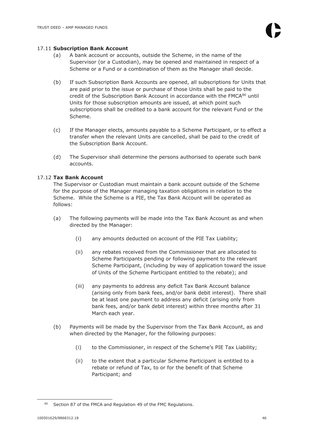#### 17.11 **Subscription Bank Account**

- (a) A bank account or accounts, outside the Scheme, in the name of the Supervisor (or a Custodian), may be opened and maintained in respect of a Scheme or a Fund or a combination of them as the Manager shall decide.
- (b) If such Subscription Bank Accounts are opened, all subscriptions for Units that are paid prior to the issue or purchase of those Units shall be paid to the credit of the Subscription Bank Account in accordance with the  $FMCA^{80}$  until Units for those subscription amounts are issued, at which point such subscriptions shall be credited to a bank account for the relevant Fund or the Scheme.
- (c) If the Manager elects, amounts payable to a Scheme Participant, or to effect a transfer when the relevant Units are cancelled, shall be paid to the credit of the Subscription Bank Account.
- (d) The Supervisor shall determine the persons authorised to operate such bank accounts.

# 17.12 **Tax Bank Account**

The Supervisor or Custodian must maintain a bank account outside of the Scheme for the purpose of the Manager managing taxation obligations in relation to the Scheme. While the Scheme is a PIE, the Tax Bank Account will be operated as follows:

- (a) The following payments will be made into the Tax Bank Account as and when directed by the Manager:
	- (i) any amounts deducted on account of the PIE Tax Liability;
	- (ii) any rebates received from the Commissioner that are allocated to Scheme Participants pending or following payment to the relevant Scheme Participant, (including by way of application toward the issue of Units of the Scheme Participant entitled to the rebate); and
	- (iii) any payments to address any deficit Tax Bank Account balance (arising only from bank fees, and/or bank debit interest). There shall be at least one payment to address any deficit (arising only from bank fees, and/or bank debit interest) within three months after 31 March each year.
- (b) Payments will be made by the Supervisor from the Tax Bank Account, as and when directed by the Manager, for the following purposes:
	- (i) to the Commissioner, in respect of the Scheme's PIE Tax Liability;
	- (ii) to the extent that a particular Scheme Participant is entitled to a rebate or refund of Tax, to or for the benefit of that Scheme Participant; and

<sup>80</sup> Section 87 of the FMCA and Regulation 49 of the FMC Regulations.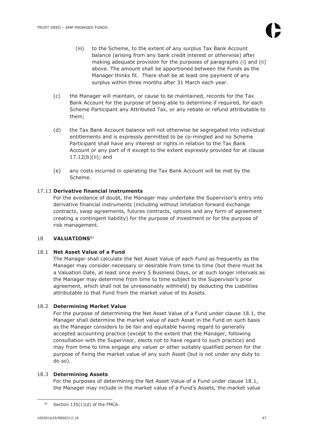- (iii) to the Scheme, to the extent of any surplus Tax Bank Account balance (arising from any bank credit interest or otherwise) after making adequate provision for the purposes of paragraphs (i) and (ii) above. The amount shall be apportioned between the Funds as the Manager thinks fit. There shall be at least one payment of any surplus within three months after 31 March each year.
- (c) the Manager will maintain, or cause to be maintained, records for the Tax Bank Account for the purpose of being able to determine if required, for each Scheme Participant any Attributed Tax, or any rebate or refund attributable to them;
- (d) the Tax Bank Account balance will not otherwise be segregated into individual entitlements and is expressly permitted to be co-mingled and no Scheme Participant shall have any interest or rights in relation to the Tax Bank Account or any part of it except to the extent expressly provided for at clause 17.12(b)(ii); and
- (e) any costs incurred in operating the Tax Bank Account will be met by the Scheme.

# 17.13 **Derivative financial instruments**

For the avoidance of doubt, the Manager may undertake the Supervisor's entry into derivative financial instruments (including without limitation forward exchange contracts, swap agreements, futures contracts, options and any form of agreement creating a contingent liability) for the purpose of investment or for the purpose of risk management.

# 18 **VALUATIONS**<sup>81</sup>

# 18.1 **Net Asset Value of a Fund**

The Manager shall calculate the Net Asset Value of each Fund as frequently as the Manager may consider necessary or desirable from time to time (but there must be a Valuation Date, at least once every 5 Business Days, or at such longer intervals as the Manager may determine from time to time subject to the Supervisor's prior agreement, which shall not be unreasonably withheld) by deducting the Liabilities attributable to that Fund from the market value of its Assets.

# 18.2 **Determining Market Value**

For the purpose of determining the Net Asset Value of a Fund under clause 18.1, the Manager shall determine the market value of each Asset in the Fund on such basis as the Manager considers to be fair and equitable having regard to generally accepted accounting practice (except to the extent that the Manager, following consultation with the Supervisor, elects not to have regard to such practice) and may from time to time engage any valuer or other suitably qualified person for the purpose of fixing the market value of any such Asset (but is not under any duty to do so).

# 18.3 **Determining Assets**

For the purposes of determining the Net Asset Value of a Fund under clause 18.1, the Manager may include in the market value of a Fund's Assets, the market value

 $81$  Section 135(1)(d) of the FMCA.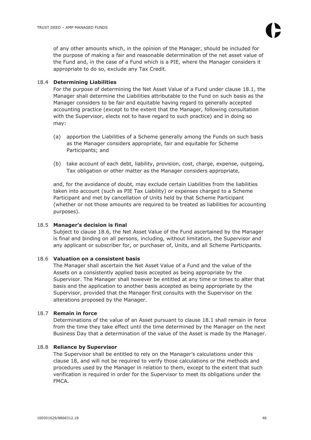of any other amounts which, in the opinion of the Manager, should be included for the purpose of making a fair and reasonable determination of the net asset value of the Fund and, in the case of a Fund which is a PIE, where the Manager considers it appropriate to do so, exclude any Tax Credit.

# 18.4 **Determining Liabilities**

For the purpose of determining the Net Asset Value of a Fund under clause 18.1, the Manager shall determine the Liabilities attributable to the Fund on such basis as the Manager considers to be fair and equitable having regard to generally accepted accounting practice (except to the extent that the Manager, following consultation with the Supervisor, elects not to have regard to such practice) and in doing so may:

- (a) apportion the Liabilities of a Scheme generally among the Funds on such basis as the Manager considers appropriate, fair and equitable for Scheme Participants; and
- (b) take account of each debt, liability, provision, cost, charge, expense, outgoing, Tax obligation or other matter as the Manager considers appropriate,

and, for the avoidance of doubt, may exclude certain Liabilities from the liabilities taken into account (such as PIE Tax Liability) or expenses charged to a Scheme Participant and met by cancellation of Units held by that Scheme Participant (whether or not those amounts are required to be treated as liabilities for accounting purposes).

# 18.5 **Manager's decision is final**

Subject to clause 18.6, the Net Asset Value of the Fund ascertained by the Manager is final and binding on all persons, including, without limitation, the Supervisor and any applicant or subscriber for, or purchaser of, Units, and all Scheme Participants.

# 18.6 **Valuation on a consistent basis**

The Manager shall ascertain the Net Asset Value of a Fund and the value of the Assets on a consistently applied basis accepted as being appropriate by the Supervisor. The Manager shall however be entitled at any time or times to alter that basis and the application to another basis accepted as being appropriate by the Supervisor, provided that the Manager first consults with the Supervisor on the alterations proposed by the Manager.

# 18.7 **Remain in force**

Determinations of the value of an Asset pursuant to clause 18.1 shall remain in force from the time they take effect until the time determined by the Manager on the next Business Day that a determination of the value of the Asset is made by the Manager.

# 18.8 **Reliance by Supervisor**

The Supervisor shall be entitled to rely on the Manager's calculations under this clause 18, and will not be required to verify those calculations or the methods and procedures used by the Manager in relation to them, except to the extent that such verification is required in order for the Supervisor to meet its obligations under the FMCA.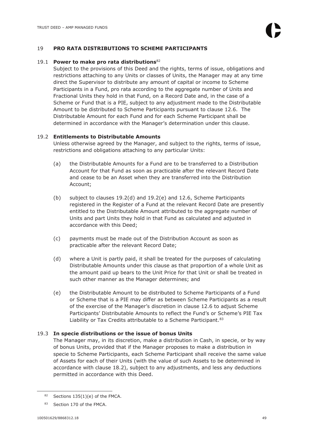# 19 **PRO RATA DISTRIBUTIONS TO SCHEME PARTICIPANTS**

#### 19.1 **Power to make pro rata distributions**<sup>82</sup>

Subject to the provisions of this Deed and the rights, terms of issue, obligations and restrictions attaching to any Units or classes of Units, the Manager may at any time direct the Supervisor to distribute any amount of capital or income to Scheme Participants in a Fund, pro rata according to the aggregate number of Units and Fractional Units they hold in that Fund, on a Record Date and, in the case of a Scheme or Fund that is a PIE, subject to any adjustment made to the Distributable Amount to be distributed to Scheme Participants pursuant to clause 12.6. The Distributable Amount for each Fund and for each Scheme Participant shall be determined in accordance with the Manager's determination under this clause.

# 19.2 **Entitlements to Distributable Amounts**

Unless otherwise agreed by the Manager, and subject to the rights, terms of issue, restrictions and obligations attaching to any particular Units:

- (a) the Distributable Amounts for a Fund are to be transferred to a Distribution Account for that Fund as soon as practicable after the relevant Record Date and cease to be an Asset when they are transferred into the Distribution Account;
- (b) subject to clauses 19.2(d) and 19.2(e) and 12.6, Scheme Participants registered in the Register of a Fund at the relevant Record Date are presently entitled to the Distributable Amount attributed to the aggregate number of Units and part Units they hold in that Fund as calculated and adjusted in accordance with this Deed;
- (c) payments must be made out of the Distribution Account as soon as practicable after the relevant Record Date;
- (d) where a Unit is partly paid, it shall be treated for the purposes of calculating Distributable Amounts under this clause as that proportion of a whole Unit as the amount paid up bears to the Unit Price for that Unit or shall be treated in such other manner as the Manager determines; and
- (e) the Distributable Amount to be distributed to Scheme Participants of a Fund or Scheme that is a PIE may differ as between Scheme Participants as a result of the exercise of the Manager's discretion in clause 12.6 to adjust Scheme Participants' Distributable Amounts to reflect the Fund's or Scheme's PIE Tax Liability or Tax Credits attributable to a Scheme Participant.<sup>83</sup>

# 19.3 **In specie distributions or the issue of bonus Units**

The Manager may, in its discretion, make a distribution in Cash, in specie, or by way of bonus Units, provided that if the Manager proposes to make a distribution in specie to Scheme Participants, each Scheme Participant shall receive the same value of Assets for each of their Units (with the value of such Assets to be determined in accordance with clause 18.2), subject to any adjustments, and less any deductions permitted in accordance with this Deed.

 $82$  Sections 135(1)(e) of the FMCA.

<sup>83</sup> Section 170 of the FMCA.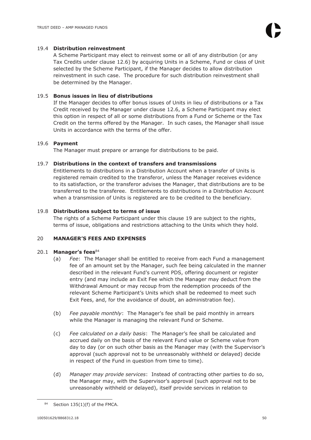#### 19.4 **Distribution reinvestment**

A Scheme Participant may elect to reinvest some or all of any distribution (or any Tax Credits under clause 12.6) by acquiring Units in a Scheme, Fund or class of Unit selected by the Scheme Participant, if the Manager decides to allow distribution reinvestment in such case. The procedure for such distribution reinvestment shall be determined by the Manager.

# 19.5 **Bonus issues in lieu of distributions**

If the Manager decides to offer bonus issues of Units in lieu of distributions or a Tax Credit received by the Manager under clause 12.6, a Scheme Participant may elect this option in respect of all or some distributions from a Fund or Scheme or the Tax Credit on the terms offered by the Manager. In such cases, the Manager shall issue Units in accordance with the terms of the offer.

# 19.6 **Payment**

The Manager must prepare or arrange for distributions to be paid.

#### 19.7 **Distributions in the context of transfers and transmissions**

Entitlements to distributions in a Distribution Account when a transfer of Units is registered remain credited to the transferor, unless the Manager receives evidence to its satisfaction, or the transferor advises the Manager, that distributions are to be transferred to the transferee. Entitlements to distributions in a Distribution Account when a transmission of Units is registered are to be credited to the beneficiary.

#### 19.8 **Distributions subject to terms of issue**

The rights of a Scheme Participant under this clause 19 are subject to the rights, terms of issue, obligations and restrictions attaching to the Units which they hold.

# 20 **MANAGER'S FEES AND EXPENSES**

#### 20.1 **Manager's fees**<sup>84</sup>

- (a) *Fee*: The Manager shall be entitled to receive from each Fund a management fee of an amount set by the Manager, such fee being calculated in the manner described in the relevant Fund's current PDS, offering document or register entry (and may include an Exit Fee which the Manager may deduct from the Withdrawal Amount or may recoup from the redemption proceeds of the relevant Scheme Participant's Units which shall be redeemed to meet such Exit Fees, and, for the avoidance of doubt, an administration fee).
- (b) *Fee payable monthly*: The Manager's fee shall be paid monthly in arrears while the Manager is managing the relevant Fund or Scheme.
- (c) *Fee calculated on a daily basis*: The Manager's fee shall be calculated and accrued daily on the basis of the relevant Fund value or Scheme value from day to day (or on such other basis as the Manager may (with the Supervisor's approval (such approval not to be unreasonably withheld or delayed) decide in respect of the Fund in question from time to time).
- (d) *Manager may provide services*:Instead of contracting other parties to do so, the Manager may, with the Supervisor's approval (such approval not to be unreasonably withheld or delayed), itself provide services in relation to

 $84$  Section 135(1)(f) of the FMCA.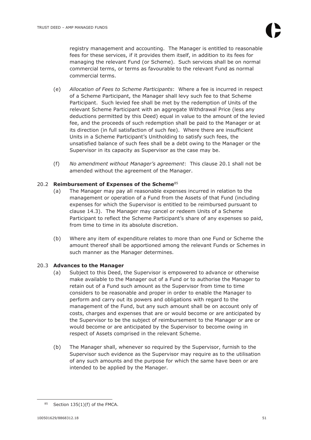registry management and accounting. The Manager is entitled to reasonable fees for these services, if it provides them itself, in addition to its fees for managing the relevant Fund (or Scheme). Such services shall be on normal commercial terms, or terms as favourable to the relevant Fund as normal commercial terms.

- (e) *Allocation of Fees to Scheme Participants*: Where a fee is incurred in respect of a Scheme Participant, the Manager shall levy such fee to that Scheme Participant. Such levied fee shall be met by the redemption of Units of the relevant Scheme Participant with an aggregate Withdrawal Price (less any deductions permitted by this Deed) equal in value to the amount of the levied fee, and the proceeds of such redemption shall be paid to the Manager or at its direction (in full satisfaction of such fee). Where there are insufficient Units in a Scheme Participant's Unitholding to satisfy such fees, the unsatisfied balance of such fees shall be a debt owing to the Manager or the Supervisor in its capacity as Supervisor as the case may be.
- (f) *No amendment without Manager's agreement*: This clause 20.1 shall not be amended without the agreement of the Manager.

# 20.2 **Reimbursement of Expenses of the Scheme**<sup>85</sup>

- (a) The Manager may pay all reasonable expenses incurred in relation to the management or operation of a Fund from the Assets of that Fund (including expenses for which the Supervisor is entitled to be reimbursed pursuant to clause 14.3). The Manager may cancel or redeem Units of a Scheme Participant to reflect the Scheme Participant's share of any expenses so paid, from time to time in its absolute discretion.
- (b) Where any item of expenditure relates to more than one Fund or Scheme the amount thereof shall be apportioned among the relevant Funds or Schemes in such manner as the Manager determines.

# 20.3 **Advances to the Manager**

- (a) Subject to this Deed, the Supervisor is empowered to advance or otherwise make available to the Manager out of a Fund or to authorise the Manager to retain out of a Fund such amount as the Supervisor from time to time considers to be reasonable and proper in order to enable the Manager to perform and carry out its powers and obligations with regard to the management of the Fund, but any such amount shall be on account only of costs, charges and expenses that are or would become or are anticipated by the Supervisor to be the subject of reimbursement to the Manager or are or would become or are anticipated by the Supervisor to become owing in respect of Assets comprised in the relevant Scheme.
- (b) The Manager shall, whenever so required by the Supervisor, furnish to the Supervisor such evidence as the Supervisor may require as to the utilisation of any such amounts and the purpose for which the same have been or are intended to be applied by the Manager.

 $85$  Section 135(1)(f) of the FMCA.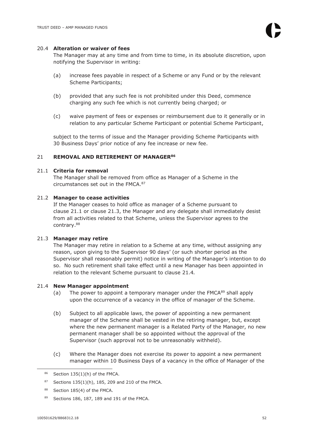#### 20.4 **Alteration or waiver of fees**

The Manager may at any time and from time to time, in its absolute discretion, upon notifying the Supervisor in writing:

- (a) increase fees payable in respect of a Scheme or any Fund or by the relevant Scheme Participants;
- (b) provided that any such fee is not prohibited under this Deed, commence charging any such fee which is not currently being charged; or
- (c) waive payment of fees or expenses or reimbursement due to it generally or in relation to any particular Scheme Participant or potential Scheme Participant,

subject to the terms of issue and the Manager providing Scheme Participants with 30 Business Days' prior notice of any fee increase or new fee.

#### 21 **REMOVAL AND RETIREMENT OF MANAGER<sup>86</sup>**

# 21.1 **Criteria for removal**

The Manager shall be removed from office as Manager of a Scheme in the circumstances set out in the FMCA.<sup>87</sup>

#### 21.2 **Manager to cease activities**

If the Manager ceases to hold office as manager of a Scheme pursuant to clause 21.1 or clause 21.3, the Manager and any delegate shall immediately desist from all activities related to that Scheme, unless the Supervisor agrees to the contrary.<sup>88</sup>

#### 21.3 **Manager may retire**

The Manager may retire in relation to a Scheme at any time, without assigning any reason, upon giving to the Supervisor 90 days' (or such shorter period as the Supervisor shall reasonably permit) notice in writing of the Manager's intention to do so. No such retirement shall take effect until a new Manager has been appointed in relation to the relevant Scheme pursuant to clause 21.4*.*

#### 21.4 **New Manager appointment**

- (a) The power to appoint a temporary manager under the  $FMCA^{89}$  shall apply upon the occurrence of a vacancy in the office of manager of the Scheme.
- (b) Subject to all applicable laws, the power of appointing a new permanent manager of the Scheme shall be vested in the retiring manager, but, except where the new permanent manager is a Related Party of the Manager, no new permanent manager shall be so appointed without the approval of the Supervisor (such approval not to be unreasonably withheld).
- (c) Where the Manager does not exercise its power to appoint a new permanent manager within 10 Business Days of a vacancy in the office of Manager of the

 $86$  Section 135(1)(h) of the FMCA.

<sup>87</sup> Sections  $135(1)(h)$ , 185, 209 and 210 of the FMCA.

<sup>88</sup> Section 185(4) of the FMCA.

<sup>89</sup> Sections 186, 187, 189 and 191 of the FMCA.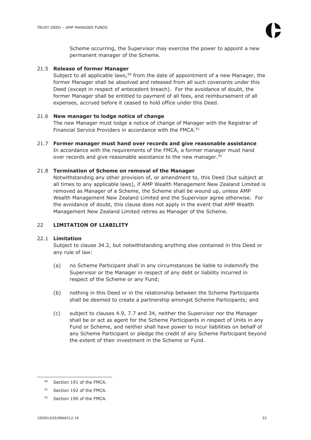Scheme occurring, the Supervisor may exercise the power to appoint a new permanent manager of the Scheme.

# 21.5 **Release of former Manager**

Subject to all applicable laws,  $90$  from the date of appointment of a new Manager, the former Manager shall be absolved and released from all such covenants under this Deed (except in respect of antecedent breach). For the avoidance of doubt, the former Manager shall be entitled to payment of all fees, and reimbursement of all expenses, accrued before it ceased to hold office under this Deed.

# 21.6 **New manager to lodge notice of change**

The new Manager must lodge a notice of change of Manager with the Registrar of Financial Service Providers in accordance with the FMCA.<sup>91</sup>

21.7 **Former manager must hand over records and give reasonable assistance**  In accordance with the requirements of the FMCA, a former manager must hand over records and give reasonable assistance to the new manager.<sup>92</sup>

# 21.8 **Termination of Scheme on removal of the Manager**

Notwithstanding any other provision of, or amendment to, this Deed (but subject at all times to any applicable laws), if AMP Wealth Management New Zealand Limited is removed as Manager of a Scheme, the Scheme shall be wound up, unless AMP Wealth Management New Zealand Limited and the Supervisor agree otherwise. For the avoidance of doubt, this clause does not apply in the event that AMP Wealth Management New Zealand Limited retires as Manager of the Scheme.

# 22 **LIMITATION OF LIABILITY**

# 22.1 **Limitation**

Subject to clause 34.2, but notwithstanding anything else contained in this Deed or any rule of law:

- (a) no Scheme Participant shall in any circumstances be liable to indemnify the Supervisor or the Manager in respect of any debt or liability incurred in respect of the Scheme or any Fund;
- (b) nothing in this Deed or in the relationship between the Scheme Participants shall be deemed to create a partnership amongst Scheme Participants; and
- (c) subject to clauses 4.9, 7.7 and 34, neither the Supervisor nor the Manager shall be or act as agent for the Scheme Participants in respect of Units in any Fund or Scheme, and neither shall have power to incur liabilities on behalf of any Scheme Participant or pledge the credit of any Scheme Participant beyond the extent of their investment in the Scheme or Fund.

<sup>90</sup> Section 191 of the FMCA.

<sup>91</sup> Section 192 of the FMCA.

<sup>92</sup> Section 190 of the FMCA.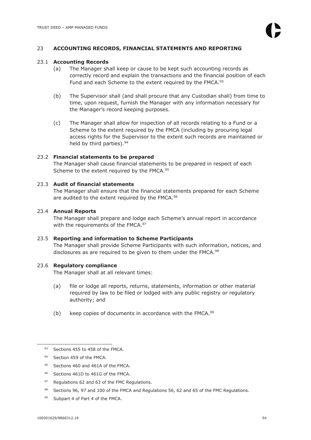# 23 **ACCOUNTING RECORDS, FINANCIAL STATEMENTS AND REPORTING**

#### 23.1 **Accounting Records**

- (a) The Manager shall keep or cause to be kept such accounting records as correctly record and explain the transactions and the financial position of each Fund and each Scheme to the extent required by the FMCA.<sup>93</sup>
- (b) The Supervisor shall (and shall procure that any Custodian shall) from time to time, upon request, furnish the Manager with any information necessary for the Manager's record keeping purposes.
- (c) The Manager shall allow for inspection of all records relating to a Fund or a Scheme to the extent required by the FMCA (including by procuring legal access rights for the Supervisor to the extent such records are maintained or held by third parties).<sup>94</sup>

#### 23.2 **Financial statements to be prepared**

The Manager shall cause financial statements to be prepared in respect of each Scheme to the extent required by the FMCA.<sup>95</sup>

#### 23.3 **Audit of financial statements**

The Manager shall ensure that the financial statements prepared for each Scheme are audited to the extent required by the FMCA.<sup>96</sup>

#### 23.4 **Annual Reports**

The Manager shall prepare and lodge each Scheme's annual report in accordance with the requirements of the FMCA.<sup>97</sup>

#### 23.5 **Reporting and information to Scheme Participants**

The Manager shall provide Scheme Participants with such information, notices, and disclosures as are required to be given to them under the FMCA.<sup>98</sup>

#### 23.6 **Regulatory compliance**

The Manager shall at all relevant times:

- (a) file or lodge all reports, returns, statements, information or other material required by law to be filed or lodged with any public registry or regulatory authority; and
- (b) keep copies of documents in accordance with the FMCA. $99$

- 94 Section 459 of the FMCA.
- 95 Sections 460 and 461A of the FMCA.
- 96 Sections 461D to 461G of the FMCA.
- 97 Regulations 62 and 63 of the FMC Regulations.
- 98 Sections 96, 97 and 100 of the FMCA and Regulations 56, 62 and 65 of the FMC Regulations.
- 99 Subpart 4 of Part 4 of the FMCA.

<sup>93</sup> Sections 455 to 458 of the FMCA.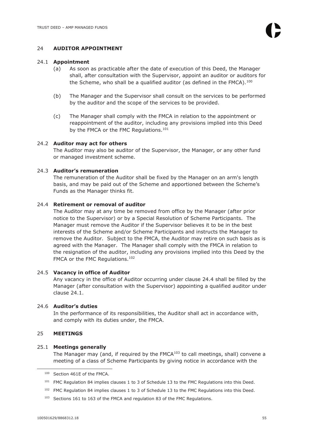# 24 **AUDITOR APPOINTMENT**

#### 24.1 **Appointment**

- (a) As soon as practicable after the date of execution of this Deed, the Manager shall, after consultation with the Supervisor, appoint an auditor or auditors for the Scheme, who shall be a qualified auditor (as defined in the FMCA). $^{100}$
- (b) The Manager and the Supervisor shall consult on the services to be performed by the auditor and the scope of the services to be provided.
- (c) The Manager shall comply with the FMCA in relation to the appointment or reappointment of the auditor, including any provisions implied into this Deed by the FMCA or the FMC Regulations.<sup>101</sup>

# 24.2 **Auditor may act for others**

The Auditor may also be auditor of the Supervisor, the Manager, or any other fund or managed investment scheme.

# 24.3 **Auditor's remuneration**

The remuneration of the Auditor shall be fixed by the Manager on an arm's length basis, and may be paid out of the Scheme and apportioned between the Scheme's Funds as the Manager thinks fit.

#### 24.4 **Retirement or removal of auditor**

The Auditor may at any time be removed from office by the Manager (after prior notice to the Supervisor) or by a Special Resolution of Scheme Participants. The Manager must remove the Auditor if the Supervisor believes it to be in the best interests of the Scheme and/or Scheme Participants and instructs the Manager to remove the Auditor. Subject to the FMCA, the Auditor may retire on such basis as is agreed with the Manager. The Manager shall comply with the FMCA in relation to the resignation of the auditor, including any provisions implied into this Deed by the FMCA or the FMC Regulations.<sup>102</sup>

#### 24.5 **Vacancy in office of Auditor**

Any vacancy in the office of Auditor occurring under clause 24.4 shall be filled by the Manager (after consultation with the Supervisor) appointing a qualified auditor under clause 24.1.

#### 24.6 **Auditor's duties**

In the performance of its responsibilities, the Auditor shall act in accordance with, and comply with its duties under, the FMCA.

#### 25 **MEETINGS**

#### 25.1 **Meetings generally**

The Manager may (and, if required by the  $FMCA^{103}$  to call meetings, shall) convene a meeting of a class of Scheme Participants by giving notice in accordance with the

<sup>100</sup> Section 461E of the FMCA.

<sup>&</sup>lt;sup>101</sup> FMC Regulation 84 implies clauses 1 to 3 of Schedule 13 to the FMC Regulations into this Deed.

<sup>&</sup>lt;sup>102</sup> FMC Regulation 84 implies clauses 1 to 3 of Schedule 13 to the FMC Regulations into this Deed.

<sup>&</sup>lt;sup>103</sup> Sections 161 to 163 of the FMCA and regulation 83 of the FMC Regulations.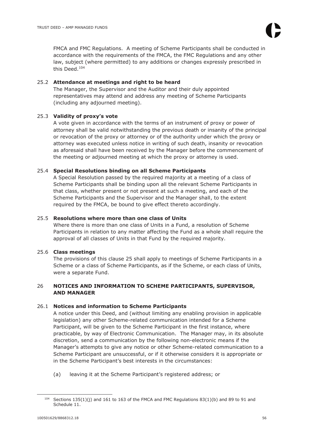FMCA and FMC Regulations. A meeting of Scheme Participants shall be conducted in accordance with the requirements of the FMCA, the FMC Regulations and any other law, subject (where permitted) to any additions or changes expressly prescribed in this Deed.<sup>104</sup>

# 25.2 **Attendance at meetings and right to be heard**

The Manager, the Supervisor and the Auditor and their duly appointed representatives may attend and address any meeting of Scheme Participants (including any adjourned meeting).

# 25.3 **Validity of proxy's vote**

A vote given in accordance with the terms of an instrument of proxy or power of attorney shall be valid notwithstanding the previous death or insanity of the principal or revocation of the proxy or attorney or of the authority under which the proxy or attorney was executed unless notice in writing of such death, insanity or revocation as aforesaid shall have been received by the Manager before the commencement of the meeting or adjourned meeting at which the proxy or attorney is used.

# 25.4 **Special Resolutions binding on all Scheme Participants**

A Special Resolution passed by the required majority at a meeting of a class of Scheme Participants shall be binding upon all the relevant Scheme Participants in that class, whether present or not present at such a meeting, and each of the Scheme Participants and the Supervisor and the Manager shall, to the extent required by the FMCA, be bound to give effect thereto accordingly.

# 25.5 **Resolutions where more than one class of Units**

Where there is more than one class of Units in a Fund, a resolution of Scheme Participants in relation to any matter affecting the Fund as a whole shall require the approval of all classes of Units in that Fund by the required majority.

# 25.6 **Class meetings**

The provisions of this clause 25 shall apply to meetings of Scheme Participants in a Scheme or a class of Scheme Participants, as if the Scheme, or each class of Units, were a separate Fund.

# 26 **NOTICES AND INFORMATION TO SCHEME PARTICIPANTS, SUPERVISOR, AND MANAGER**

# 26.1 **Notices and information to Scheme Participants**

A notice under this Deed, and (without limiting any enabling provision in applicable legislation) any other Scheme-related communication intended for a Scheme Participant, will be given to the Scheme Participant in the first instance, where practicable, by way of Electronic Communication. The Manager may, in its absolute discretion, send a communication by the following non-electronic means if the Manager's attempts to give any notice or other Scheme-related communication to a Scheme Participant are unsuccessful, or if it otherwise considers it is appropriate or in the Scheme Participant's best interests in the circumstances:

(a) leaving it at the Scheme Participant's registered address; or

<sup>104</sup> Sections 135(1)(j) and 161 to 163 of the FMCA and FMC Regulations 83(1)(b) and 89 to 91 and Schedule 11.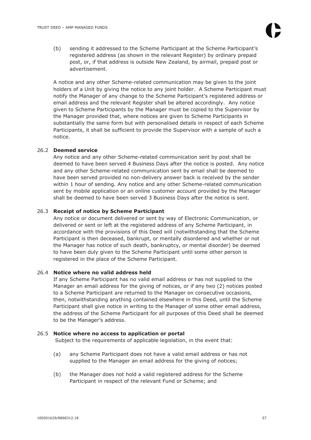(b) sending it addressed to the Scheme Participant at the Scheme Participant's registered address (as shown in the relevant Register) by ordinary prepaid post, or, if that address is outside New Zealand, by airmail, prepaid post or advertisement.

A notice and any other Scheme-related communication may be given to the joint holders of a Unit by giving the notice to any joint holder. A Scheme Participant must notify the Manager of any change to the Scheme Participant's registered address or email address and the relevant Register shall be altered accordingly. Any notice given to Scheme Participants by the Manager must be copied to the Supervisor by the Manager provided that, where notices are given to Scheme Participants in substantially the same form but with personalised details in respect of each Scheme Participants, it shall be sufficient to provide the Supervisor with a sample of such a notice.

#### 26.2 **Deemed service**

Any notice and any other Scheme-related communication sent by post shall be deemed to have been served 4 Business Days after the notice is posted. Any notice and any other Scheme-related communication sent by email shall be deemed to have been served provided no non-delivery answer back is received by the sender within 1 hour of sending. Any notice and any other Scheme-related communication sent by mobile application or an online customer account provided by the Manager shall be deemed to have been served 3 Business Days after the notice is sent.

#### 26.3 **Receipt of notice by Scheme Participant**

Any notice or document delivered or sent by way of Electronic Communication, or delivered or sent or left at the registered address of any Scheme Participant, in accordance with the provisions of this Deed will (notwithstanding that the Scheme Participant is then deceased, bankrupt, or mentally disordered and whether or not the Manager has notice of such death, bankruptcy, or mental disorder) be deemed to have been duly given to the Scheme Participant until some other person is registered in the place of the Scheme Participant.

# 26.4 **Notice where no valid address held**

If any Scheme Participant has no valid email address or has not supplied to the Manager an email address for the giving of notices, or if any two (2) notices posted to a Scheme Participant are returned to the Manager on consecutive occasions, then, notwithstanding anything contained elsewhere in this Deed, until the Scheme Participant shall give notice in writing to the Manager of some other email address, the address of the Scheme Participant for all purposes of this Deed shall be deemed to be the Manager's address.

#### 26.5 **Notice where no access to application or portal**

Subject to the requirements of applicable legislation, in the event that:

- (a) any Scheme Participant does not have a valid email address or has not supplied to the Manager an email address for the giving of notices;
- (b) the Manager does not hold a valid registered address for the Scheme Participant in respect of the relevant Fund or Scheme; and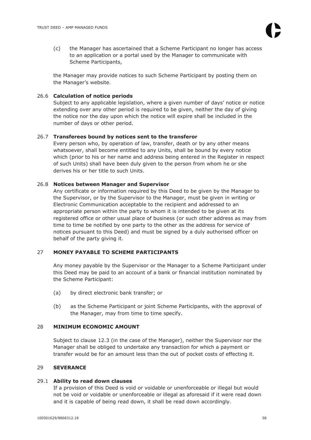(c) the Manager has ascertained that a Scheme Participant no longer has access to an application or a portal used by the Manager to communicate with Scheme Participants,

the Manager may provide notices to such Scheme Participant by posting them on the Manager's website.

# 26.6 **Calculation of notice periods**

Subject to any applicable legislation, where a given number of days' notice or notice extending over any other period is required to be given, neither the day of giving the notice nor the day upon which the notice will expire shall be included in the number of days or other period.

# 26.7 **Transferees bound by notices sent to the transferor**

Every person who, by operation of law, transfer, death or by any other means whatsoever, shall become entitled to any Units, shall be bound by every notice which (prior to his or her name and address being entered in the Register in respect of such Units) shall have been duly given to the person from whom he or she derives his or her title to such Units.

# 26.8 **Notices between Manager and Supervisor**

Any certificate or information required by this Deed to be given by the Manager to the Supervisor, or by the Supervisor to the Manager, must be given in writing or Electronic Communication acceptable to the recipient and addressed to an appropriate person within the party to whom it is intended to be given at its registered office or other usual place of business (or such other address as may from time to time be notified by one party to the other as the address for service of notices pursuant to this Deed) and must be signed by a duly authorised officer on behalf of the party giving it.

# 27 **MONEY PAYABLE TO SCHEME PARTICIPANTS**

Any money payable by the Supervisor or the Manager to a Scheme Participant under this Deed may be paid to an account of a bank or financial institution nominated by the Scheme Participant:

- (a) by direct electronic bank transfer; or
- (b) as the Scheme Participant or joint Scheme Participants, with the approval of the Manager, may from time to time specify.

# 28 **MINIMUM ECONOMIC AMOUNT**

Subject to clause 12.3 (in the case of the Manager), neither the Supervisor nor the Manager shall be obliged to undertake any transaction for which a payment or transfer would be for an amount less than the out of pocket costs of effecting it.

# 29 **SEVERANCE**

# 29.1 **Ability to read down clauses**

If a provision of this Deed is void or voidable or unenforceable or illegal but would not be void or voidable or unenforceable or illegal as aforesaid if it were read down and it is capable of being read down, it shall be read down accordingly.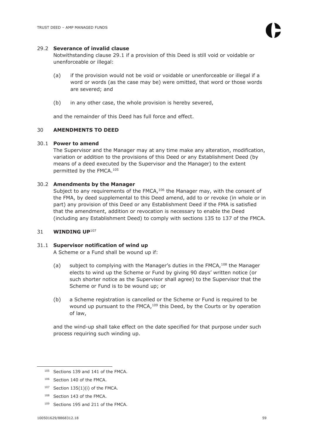#### 29.2 **Severance of invalid clause**

Notwithstanding clause 29.1 if a provision of this Deed is still void or voidable or unenforceable or illegal:

- (a) if the provision would not be void or voidable or unenforceable or illegal if a word or words (as the case may be) were omitted, that word or those words are severed; and
- (b) in any other case, the whole provision is hereby severed,

and the remainder of this Deed has full force and effect.

#### 30 **AMENDMENTS TO DEED**

#### 30.1 **Power to amend**

The Supervisor and the Manager may at any time make any alteration, modification, variation or addition to the provisions of this Deed or any Establishment Deed (by means of a deed executed by the Supervisor and the Manager) to the extent permitted by the FMCA.<sup>105</sup>

#### 30.2 **Amendments by the Manager**

Subject to any requirements of the FMCA, $106$  the Manager may, with the consent of the FMA, by deed supplemental to this Deed amend, add to or revoke (in whole or in part) any provision of this Deed or any Establishment Deed if the FMA is satisfied that the amendment, addition or revocation is necessary to enable the Deed (including any Establishment Deed) to comply with sections 135 to 137 of the FMCA.

#### 31 **WINDING UP**<sup>107</sup>

#### 31.1 **Supervisor notification of wind up**

A Scheme or a Fund shall be wound up if:

- (a) subject to complying with the Manager's duties in the FMCA,  $108$  the Manager elects to wind up the Scheme or Fund by giving 90 days' written notice (or such shorter notice as the Supervisor shall agree) to the Supervisor that the Scheme or Fund is to be wound up; or
- (b) a Scheme registration is cancelled or the Scheme or Fund is required to be wound up pursuant to the FMCA, $109$  this Deed, by the Courts or by operation of law,

and the wind-up shall take effect on the date specified for that purpose under such process requiring such winding up.

- <sup>108</sup> Section 143 of the FMCA.
- <sup>109</sup> Sections 195 and 211 of the FMCA.

<sup>&</sup>lt;sup>105</sup> Sections 139 and 141 of the FMCA.

<sup>106</sup> Section 140 of the FMCA.

 $107$  Section 135(1)(i) of the FMCA.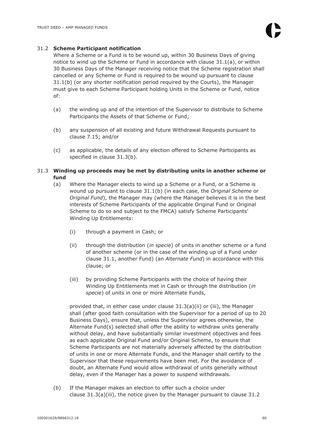# 31.2 **Scheme Participant notification**

Where a Scheme or a Fund is to be wound up, within 30 Business Days of giving notice to wind up the Scheme or Fund in accordance with clause 31.1(a), or within 30 Business Days of the Manager receiving notice that the Scheme registration shall cancelled or any Scheme or Fund is required to be wound up pursuant to clause 31.1(b) (or any shorter notification period required by the Courts), the Manager must give to each Scheme Participant holding Units in the Scheme or Fund, notice of:

- (a) the winding up and of the intention of the Supervisor to distribute to Scheme Participants the Assets of that Scheme or Fund;
- (b) any suspension of all existing and future Withdrawal Requests pursuant to clause 7.15; and/or
- (c) as applicable, the details of any election offered to Scheme Participants as specified in clause 31.3(b).

# 31.3 **Winding up proceeds may be met by distributing units in another scheme or fund**

- (a) Where the Manager elects to wind up a Scheme or a Fund, or a Scheme is wound up pursuant to clause 31.1(b) (in each case, the *Original Scheme* or *Original Fund*), the Manager may (where the Manager believes it is in the best interests of Scheme Participants of the applicable Original Fund or Original Scheme to do so and subject to the FMCA) satisfy Scheme Participants' Winding Up Entitlements:
	- (i) through a payment in Cash; or
	- (ii) through the distribution (*in specie*) of units in another scheme or a fund of another scheme (or in the case of the winding up of a Fund under clause 31.1, another Fund) (an *Alternate Fund*) in accordance with this clause; or
	- (iii) by providing Scheme Participants with the choice of having their Winding Up Entitlements met in Cash or through the distribution (*in specie*) of units in one or more Alternate Funds,

provided that, in either case under clause 31.3(a)(ii) or (iii), the Manager shall (after good faith consultation with the Supervisor for a period of up to 20 Business Days), ensure that, unless the Supervisor agrees otherwise, the Alternate Fund(s) selected shall offer the ability to withdraw units generally without delay, and have substantially similar investment objectives and fees as each applicable Original Fund and/or Original Scheme, to ensure that Scheme Participants are not materially adversely affected by the distribution of units in one or more Alternate Funds, and the Manager shall certify to the Supervisor that these requirements have been met. For the avoidance of doubt, an Alternate Fund would allow withdrawal of units generally without delay, even if the Manager has a power to suspend withdrawals.

(b) If the Manager makes an election to offer such a choice under clause 31.3(a)(iii), the notice given by the Manager pursuant to clause 31.2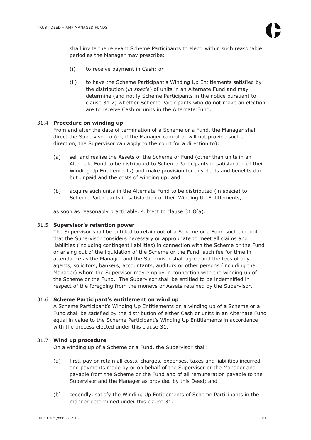shall invite the relevant Scheme Participants to elect, within such reasonable period as the Manager may prescribe:

- (i) to receive payment in Cash; or
- (ii) to have the Scheme Participant's Winding Up Entitlements satisfied by the distribution (*in specie*) of units in an Alternate Fund and may determine (and notify Scheme Participants in the notice pursuant to clause 31.2) whether Scheme Participants who do not make an election are to receive Cash or units in the Alternate Fund.

# 31.4 **Procedure on winding up**

From and after the date of termination of a Scheme or a Fund, the Manager shall direct the Supervisor to (or, if the Manager cannot or will not provide such a direction, the Supervisor can apply to the court for a direction to):

- (a) sell and realise the Assets of the Scheme or Fund (other than units in an Alternate Fund to be distributed to Scheme Participants in satisfaction of their Winding Up Entitlements) and make provision for any debts and benefits due but unpaid and the costs of winding up; and
- (b) acquire such units in the Alternate Fund to be distributed (in specie) to Scheme Participants in satisfaction of their Winding Up Entitlements,

as soon as reasonably practicable, subject to clause 31.8(a).

# 31.5 **Supervisor's retention power**

The Supervisor shall be entitled to retain out of a Scheme or a Fund such amount that the Supervisor considers necessary or appropriate to meet all claims and liabilities (including contingent liabilities) in connection with the Scheme or the Fund or arising out of the liquidation of the Scheme or the Fund, such fee for time in attendance as the Manager and the Supervisor shall agree and the fees of any agents, solicitors, bankers, accountants, auditors or other persons (including the Manager) whom the Supervisor may employ in connection with the winding up of the Scheme or the Fund. The Supervisor shall be entitled to be indemnified in respect of the foregoing from the moneys or Assets retained by the Supervisor.

# 31.6 **Scheme Participant's entitlement on wind up**

A Scheme Participant's Winding Up Entitlements on a winding up of a Scheme or a Fund shall be satisfied by the distribution of either Cash or units in an Alternate Fund equal in value to the Scheme Participant's Winding Up Entitlements in accordance with the process elected under this clause 31.

# 31.7 **Wind up procedure**

On a winding up of a Scheme or a Fund, the Supervisor shall:

- (a) first, pay or retain all costs, charges, expenses, taxes and liabilities incurred and payments made by or on behalf of the Supervisor or the Manager and payable from the Scheme or the Fund and of all remuneration payable to the Supervisor and the Manager as provided by this Deed; and
- (b) secondly, satisfy the Winding Up Entitlements of Scheme Participants in the manner determined under this clause 31.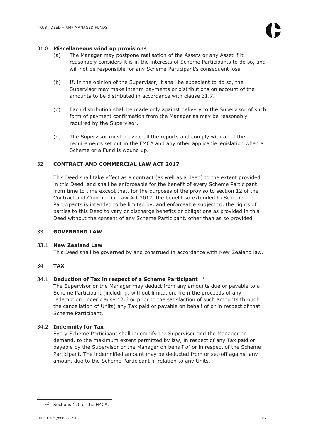#### 31.8 **Miscellaneous wind up provisions**

- (a) The Manager may postpone realisation of the Assets or any Asset if it reasonably considers it is in the interests of Scheme Participants to do so, and will not be responsible for any Scheme Participant's consequent loss.
- (b) If, in the opinion of the Supervisor, it shall be expedient to do so, the Supervisor may make interim payments or distributions on account of the amounts to be distributed in accordance with clause 31.7.
- (c) Each distribution shall be made only against delivery to the Supervisor of such form of payment confirmation from the Manager as may be reasonably required by the Supervisor.
- (d) The Supervisor must provide all the reports and comply with all of the requirements set out in the FMCA and any other applicable legislation when a Scheme or a Fund is wound up.

# 32 **CONTRACT AND COMMERCIAL LAW ACT 2017**

This Deed shall take effect as a contract (as well as a deed) to the extent provided in this Deed, and shall be enforceable for the benefit of every Scheme Participant from time to time except that, for the purposes of the proviso to section 12 of the Contract and Commercial Law Act 2017, the benefit so extended to Scheme Participants is intended to be limited by, and enforceable subject to, the rights of parties to this Deed to vary or discharge benefits or obligations as provided in this Deed without the consent of any Scheme Participant, other than as so provided.

# 33 **GOVERNING LAW**

# 33.1 **New Zealand Law**

This Deed shall be governed by and construed in accordance with New Zealand law.

# 34 **TAX**

# 34.1 **Deduction of Tax in respect of a Scheme Participant**<sup>110</sup>

The Supervisor or the Manager may deduct from any amounts due or payable to a Scheme Participant (including, without limitation, from the proceeds of any redemption under clause 12.6 or prior to the satisfaction of such amounts through the cancellation of Units) any Tax paid or payable on behalf of or in respect of that Scheme Participant.

# 34.2 **Indemnity for Tax**

Every Scheme Participant shall indemnify the Supervisor and the Manager on demand, to the maximum extent permitted by law, in respect of any Tax paid or payable by the Supervisor or the Manager on behalf of or in respect of the Scheme Participant. The indemnified amount may be deducted from or set-off against any amount due to the Scheme Participant in relation to any Units.

<sup>110</sup> Sections 170 of the FMCA.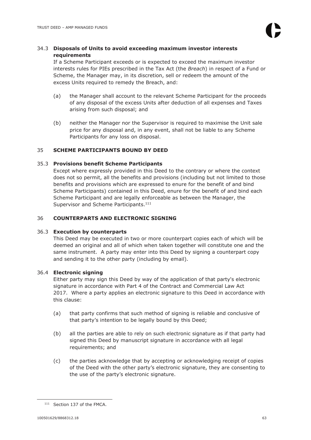# 34.3 **Disposals of Units to avoid exceeding maximum investor interests requirements**

If a Scheme Participant exceeds or is expected to exceed the maximum investor interests rules for PIEs prescribed in the Tax Act (the *Breach*) in respect of a Fund or Scheme, the Manager may, in its discretion, sell or redeem the amount of the excess Units required to remedy the Breach, and:

- (a) the Manager shall account to the relevant Scheme Participant for the proceeds of any disposal of the excess Units after deduction of all expenses and Taxes arising from such disposal; and
- (b) neither the Manager nor the Supervisor is required to maximise the Unit sale price for any disposal and, in any event, shall not be liable to any Scheme Participants for any loss on disposal.

# 35 **SCHEME PARTICIPANTS BOUND BY DEED**

# 35.3 **Provisions benefit Scheme Participants**

Except where expressly provided in this Deed to the contrary or where the context does not so permit, all the benefits and provisions (including but not limited to those benefits and provisions which are expressed to enure for the benefit of and bind Scheme Participants) contained in this Deed, enure for the benefit of and bind each Scheme Participant and are legally enforceable as between the Manager, the Supervisor and Scheme Participants.<sup>111</sup>

# 36 **COUNTERPARTS AND ELECTRONIC SIGNING**

# 36.3 **Execution by counterparts**

This Deed may be executed in two or more counterpart copies each of which will be deemed an original and all of which when taken together will constitute one and the same instrument. A party may enter into this Deed by signing a counterpart copy and sending it to the other party (including by email).

# 36.4 **Electronic signing**

Either party may sign this Deed by way of the application of that party's electronic signature in accordance with Part 4 of the Contract and Commercial Law Act 2017. Where a party applies an electronic signature to this Deed in accordance with this clause:

- (a) that party confirms that such method of signing is reliable and conclusive of that party's intention to be legally bound by this Deed;
- (b) all the parties are able to rely on such electronic signature as if that party had signed this Deed by manuscript signature in accordance with all legal requirements; and
- (c) the parties acknowledge that by accepting or acknowledging receipt of copies of the Deed with the other party's electronic signature, they are consenting to the use of the party's electronic signature.

<sup>111</sup> Section 137 of the FMCA.